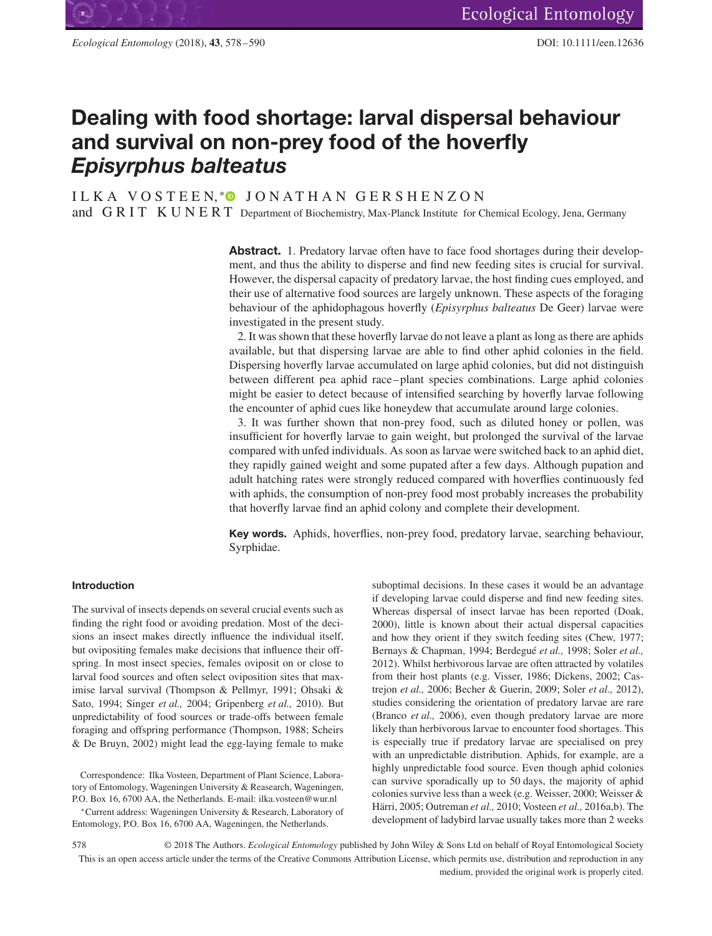# **Dealing with food shortage: larval dispersal behaviour and survival on non-prey food of the hoverfly** *Episyrphus balteatus*

IL KA VOSTEEN, \*<sup>●</sup> JONATHAN GERSHENZON and GRIT KUNERT Department of Biochemistry, Max-Planck Institute for Chemical Ecology, Jena, Germany

> Abstract. 1. Predatory larvae often have to face food shortages during their development, and thus the ability to disperse and find new feeding sites is crucial for survival. However, the dispersal capacity of predatory larvae, the host finding cues employed, and their use of alternative food sources are largely unknown. These aspects of the foraging behaviour of the aphidophagous hoverfly (*Episyrphus balteatus* De Geer) larvae were investigated in the present study.

> 2. It was shown that these hoverfly larvae do not leave a plant as long as there are aphids available, but that dispersing larvae are able to find other aphid colonies in the field. Dispersing hoverfly larvae accumulated on large aphid colonies, but did not distinguish between different pea aphid race–plant species combinations. Large aphid colonies might be easier to detect because of intensified searching by hoverfly larvae following the encounter of aphid cues like honeydew that accumulate around large colonies.

> 3. It was further shown that non-prey food, such as diluted honey or pollen, was insufficient for hoverfly larvae to gain weight, but prolonged the survival of the larvae compared with unfed individuals. As soon as larvae were switched back to an aphid diet, they rapidly gained weight and some pupated after a few days. Although pupation and adult hatching rates were strongly reduced compared with hoverflies continuously fed with aphids, the consumption of non-prey food most probably increases the probability that hoverfly larvae find an aphid colony and complete their development.

> **Key words.** Aphids, hoverflies, non-prey food, predatory larvae, searching behaviour, Syrphidae.

#### **Introduction**

The survival of insects depends on several crucial events such as finding the right food or avoiding predation. Most of the decisions an insect makes directly influence the individual itself, but ovipositing females make decisions that influence their offspring. In most insect species, females oviposit on or close to larval food sources and often select oviposition sites that maximise larval survival (Thompson & Pellmyr, 1991; Ohsaki & Sato, 1994; Singer *et al.,* 2004; Gripenberg *et al.,* 2010). But unpredictability of food sources or trade-offs between female foraging and offspring performance (Thompson, 1988; Scheirs & De Bruyn, 2002) might lead the egg-laying female to make

Correspondence: Ilka Vosteen, Department of Plant Science, Laboratory of Entomology, Wageningen University & Reasearch, Wageningen, P.O. Box 16, 6700 AA, the Netherlands. E-mail: ilka.vosteen@wur.nl

<sup>∗</sup>Current address: Wageningen University & Research, Laboratory of Entomology, P.O. Box 16, 6700 AA, Wageningen, the Netherlands.

suboptimal decisions. In these cases it would be an advantage if developing larvae could disperse and find new feeding sites. Whereas dispersal of insect larvae has been reported (Doak, 2000), little is known about their actual dispersal capacities and how they orient if they switch feeding sites (Chew, 1977; Bernays & Chapman, 1994; Berdegué *et al.,* 1998; Soler *et al.,* 2012). Whilst herbivorous larvae are often attracted by volatiles from their host plants (e.g. Visser, 1986; Dickens, 2002; Castrejon *et al.,* 2006; Becher & Guerin, 2009; Soler *et al.,* 2012), studies considering the orientation of predatory larvae are rare (Branco *et al.,* 2006), even though predatory larvae are more likely than herbivorous larvae to encounter food shortages. This is especially true if predatory larvae are specialised on prey with an unpredictable distribution. Aphids, for example, are a highly unpredictable food source. Even though aphid colonies can survive sporadically up to 50 days, the majority of aphid colonies survive less than a week (e.g. Weisser, 2000; Weisser & Härri, 2005; Outreman *et al.,* 2010; Vosteen *et al.,* 2016a,b). The development of ladybird larvae usually takes more than 2 weeks

<sup>578 © 2018</sup> The Authors. *Ecological Entomology* published by John Wiley & Sons Ltd on behalf of Royal Entomological Society This is an open access article under the terms of the Creative Commons Attribution License, which permits use, distribution and reproduction in any medium, provided the original work is properly cited.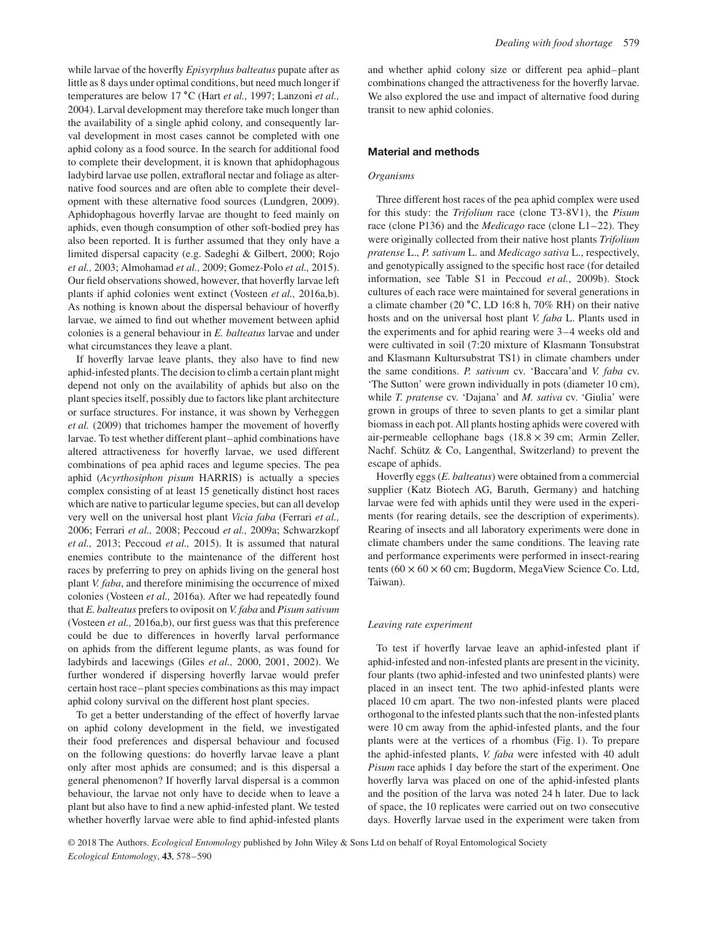while larvae of the hoverfly *Episyrphus balteatus* pupate after as little as 8 days under optimal conditions, but need much longer if temperatures are below 17 ∘C (Hart *et al.,* 1997; Lanzoni *et al.,* 2004). Larval development may therefore take much longer than the availability of a single aphid colony, and consequently larval development in most cases cannot be completed with one aphid colony as a food source. In the search for additional food to complete their development, it is known that aphidophagous ladybird larvae use pollen, extrafloral nectar and foliage as alternative food sources and are often able to complete their development with these alternative food sources (Lundgren, 2009). Aphidophagous hoverfly larvae are thought to feed mainly on aphids, even though consumption of other soft-bodied prey has also been reported. It is further assumed that they only have a limited dispersal capacity (e.g. Sadeghi & Gilbert, 2000; Rojo *et al.,* 2003; Almohamad *et al.,* 2009; Gomez-Polo *et al.,* 2015). Our field observations showed, however, that hoverfly larvae left plants if aphid colonies went extinct (Vosteen *et al.,* 2016a,b). As nothing is known about the dispersal behaviour of hoverfly larvae, we aimed to find out whether movement between aphid colonies is a general behaviour in *E. balteatus* larvae and under what circumstances they leave a plant.

If hoverfly larvae leave plants, they also have to find new aphid-infested plants. The decision to climb a certain plant might depend not only on the availability of aphids but also on the plant species itself, possibly due to factors like plant architecture or surface structures. For instance, it was shown by Verheggen *et al.* (2009) that trichomes hamper the movement of hoverfly larvae. To test whether different plant–aphid combinations have altered attractiveness for hoverfly larvae, we used different combinations of pea aphid races and legume species. The pea aphid (*Acyrthosiphon pisum* HARRIS) is actually a species complex consisting of at least 15 genetically distinct host races which are native to particular legume species, but can all develop very well on the universal host plant *Vicia faba* (Ferrari *et al.,* 2006; Ferrari *et al.,* 2008; Peccoud *et al.,* 2009a; Schwarzkopf *et al.,* 2013; Peccoud *et al.,* 2015). It is assumed that natural enemies contribute to the maintenance of the different host races by preferring to prey on aphids living on the general host plant *V. faba*, and therefore minimising the occurrence of mixed colonies (Vosteen *et al.,* 2016a). After we had repeatedly found that *E. balteatus* prefers to oviposit on *V. faba* and *Pisum sativum* (Vosteen *et al.,* 2016a,b), our first guess was that this preference could be due to differences in hoverfly larval performance on aphids from the different legume plants, as was found for ladybirds and lacewings (Giles *et al.,* 2000, 2001, 2002). We further wondered if dispersing hoverfly larvae would prefer certain host race–plant species combinations as this may impact aphid colony survival on the different host plant species.

To get a better understanding of the effect of hoverfly larvae on aphid colony development in the field, we investigated their food preferences and dispersal behaviour and focused on the following questions: do hoverfly larvae leave a plant only after most aphids are consumed; and is this dispersal a general phenomenon? If hoverfly larval dispersal is a common behaviour, the larvae not only have to decide when to leave a plant but also have to find a new aphid-infested plant. We tested whether hoverfly larvae were able to find aphid-infested plants

and whether aphid colony size or different pea aphid–plant combinations changed the attractiveness for the hoverfly larvae. We also explored the use and impact of alternative food during transit to new aphid colonies.

## **Material and methods**

#### *Organisms*

Three different host races of the pea aphid complex were used for this study: the *Trifolium* race (clone T3-8V1), the *Pisum* race (clone P136) and the *Medicago* race (clone L1–22). They were originally collected from their native host plants *Trifolium pratense* L., *P. sativum* L. and *Medicago sativa* L., respectively, and genotypically assigned to the specific host race (for detailed information, see Table S1 in Peccoud *et al.*, 2009b). Stock cultures of each race were maintained for several generations in a climate chamber (20 ∘C, LD 16:8 h, 70% RH) on their native hosts and on the universal host plant *V. faba* L. Plants used in the experiments and for aphid rearing were 3–4 weeks old and were cultivated in soil (7:20 mixture of Klasmann Tonsubstrat and Klasmann Kultursubstrat TS1) in climate chambers under the same conditions. *P. sativum* cv. 'Baccara'and *V. faba* cv. 'The Sutton' were grown individually in pots (diameter 10 cm), while *T. pratense* cv. 'Dajana' and *M. sativa* cv. 'Giulia' were grown in groups of three to seven plants to get a similar plant biomass in each pot. All plants hosting aphids were covered with air-permeable cellophane bags (18.8 × 39 cm; Armin Zeller, Nachf. Schütz & Co, Langenthal, Switzerland) to prevent the escape of aphids.

Hoverfly eggs (*E. balteatus*) were obtained from a commercial supplier (Katz Biotech AG, Baruth, Germany) and hatching larvae were fed with aphids until they were used in the experiments (for rearing details, see the description of experiments). Rearing of insects and all laboratory experiments were done in climate chambers under the same conditions. The leaving rate and performance experiments were performed in insect-rearing tents  $(60 \times 60 \times 60 \text{ cm}$ ; Bugdorm, MegaView Science Co. Ltd, Taiwan).

#### *Leaving rate experiment*

To test if hoverfly larvae leave an aphid-infested plant if aphid-infested and non-infested plants are present in the vicinity, four plants (two aphid-infested and two uninfested plants) were placed in an insect tent. The two aphid-infested plants were placed 10 cm apart. The two non-infested plants were placed orthogonal to the infested plants such that the non-infested plants were 10 cm away from the aphid-infested plants, and the four plants were at the vertices of a rhombus (Fig. 1). To prepare the aphid-infested plants, *V. faba* were infested with 40 adult *Pisum* race aphids 1 day before the start of the experiment. One hoverfly larva was placed on one of the aphid-infested plants and the position of the larva was noted 24 h later. Due to lack of space, the 10 replicates were carried out on two consecutive days. Hoverfly larvae used in the experiment were taken from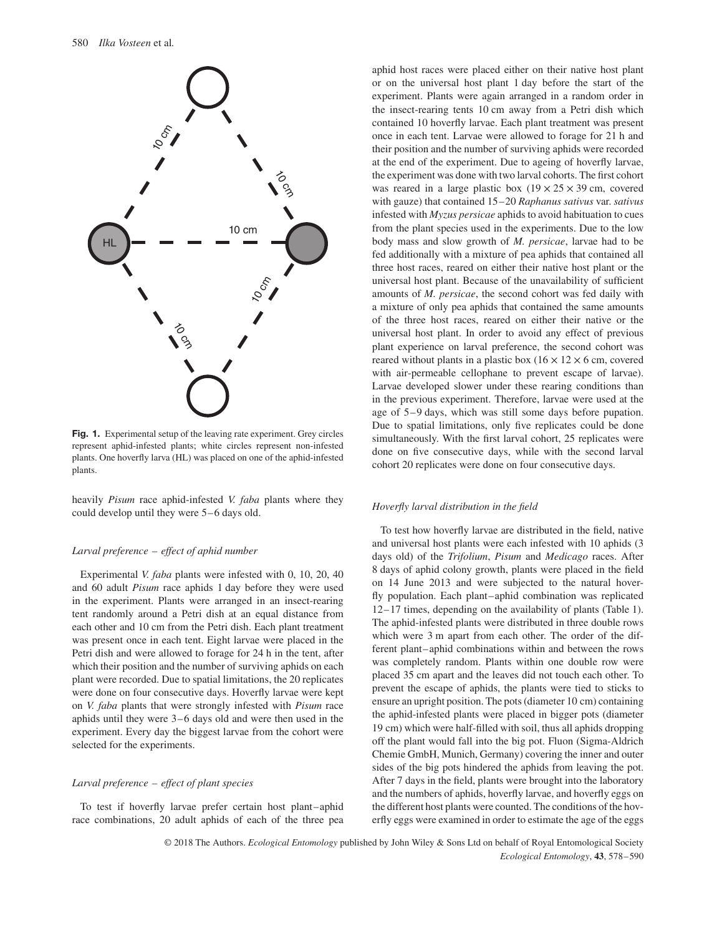

**Fig. 1.** Experimental setup of the leaving rate experiment. Grey circles represent aphid-infested plants; white circles represent non-infested plants. One hoverfly larva (HL) was placed on one of the aphid-infested plants.

heavily *Pisum* race aphid-infested *V. faba* plants where they could develop until they were 5–6 days old.

#### *Larval preference – effect of aphid number*

Experimental *V. faba* plants were infested with 0, 10, 20, 40 and 60 adult *Pisum* race aphids 1 day before they were used in the experiment. Plants were arranged in an insect-rearing tent randomly around a Petri dish at an equal distance from each other and 10 cm from the Petri dish. Each plant treatment was present once in each tent. Eight larvae were placed in the Petri dish and were allowed to forage for 24 h in the tent, after which their position and the number of surviving aphids on each plant were recorded. Due to spatial limitations, the 20 replicates were done on four consecutive days. Hoverfly larvae were kept on *V. faba* plants that were strongly infested with *Pisum* race aphids until they were 3–6 days old and were then used in the experiment. Every day the biggest larvae from the cohort were selected for the experiments.

#### *Larval preference – effect of plant species*

To test if hoverfly larvae prefer certain host plant–aphid race combinations, 20 adult aphids of each of the three pea aphid host races were placed either on their native host plant or on the universal host plant 1 day before the start of the experiment. Plants were again arranged in a random order in the insect-rearing tents 10 cm away from a Petri dish which contained 10 hoverfly larvae. Each plant treatment was present once in each tent. Larvae were allowed to forage for 21 h and their position and the number of surviving aphids were recorded at the end of the experiment. Due to ageing of hoverfly larvae, the experiment was done with two larval cohorts. The first cohort was reared in a large plastic box  $(19 \times 25 \times 39 \text{ cm}, \text{covered})$ with gauze) that contained 15–20 *Raphanus sativus* var. *sativus* infested with *Myzus persicae* aphids to avoid habituation to cues from the plant species used in the experiments. Due to the low body mass and slow growth of *M. persicae*, larvae had to be fed additionally with a mixture of pea aphids that contained all three host races, reared on either their native host plant or the universal host plant. Because of the unavailability of sufficient amounts of *M. persicae*, the second cohort was fed daily with a mixture of only pea aphids that contained the same amounts of the three host races, reared on either their native or the universal host plant. In order to avoid any effect of previous plant experience on larval preference, the second cohort was reared without plants in a plastic box  $(16 \times 12 \times 6$  cm, covered with air-permeable cellophane to prevent escape of larvae). Larvae developed slower under these rearing conditions than in the previous experiment. Therefore, larvae were used at the age of 5–9 days, which was still some days before pupation. Due to spatial limitations, only five replicates could be done simultaneously. With the first larval cohort, 25 replicates were done on five consecutive days, while with the second larval cohort 20 replicates were done on four consecutive days.

#### *Hoverfly larval distribution in the field*

To test how hoverfly larvae are distributed in the field, native and universal host plants were each infested with 10 aphids (3 days old) of the *Trifolium*, *Pisum* and *Medicago* races. After 8 days of aphid colony growth, plants were placed in the field on 14 June 2013 and were subjected to the natural hoverfly population. Each plant–aphid combination was replicated 12–17 times, depending on the availability of plants (Table 1). The aphid-infested plants were distributed in three double rows which were 3 m apart from each other. The order of the different plant–aphid combinations within and between the rows was completely random. Plants within one double row were placed 35 cm apart and the leaves did not touch each other. To prevent the escape of aphids, the plants were tied to sticks to ensure an upright position. The pots (diameter 10 cm) containing the aphid-infested plants were placed in bigger pots (diameter 19 cm) which were half-filled with soil, thus all aphids dropping off the plant would fall into the big pot. Fluon (Sigma-Aldrich Chemie GmbH, Munich, Germany) covering the inner and outer sides of the big pots hindered the aphids from leaving the pot. After 7 days in the field, plants were brought into the laboratory and the numbers of aphids, hoverfly larvae, and hoverfly eggs on the different host plants were counted. The conditions of the hoverfly eggs were examined in order to estimate the age of the eggs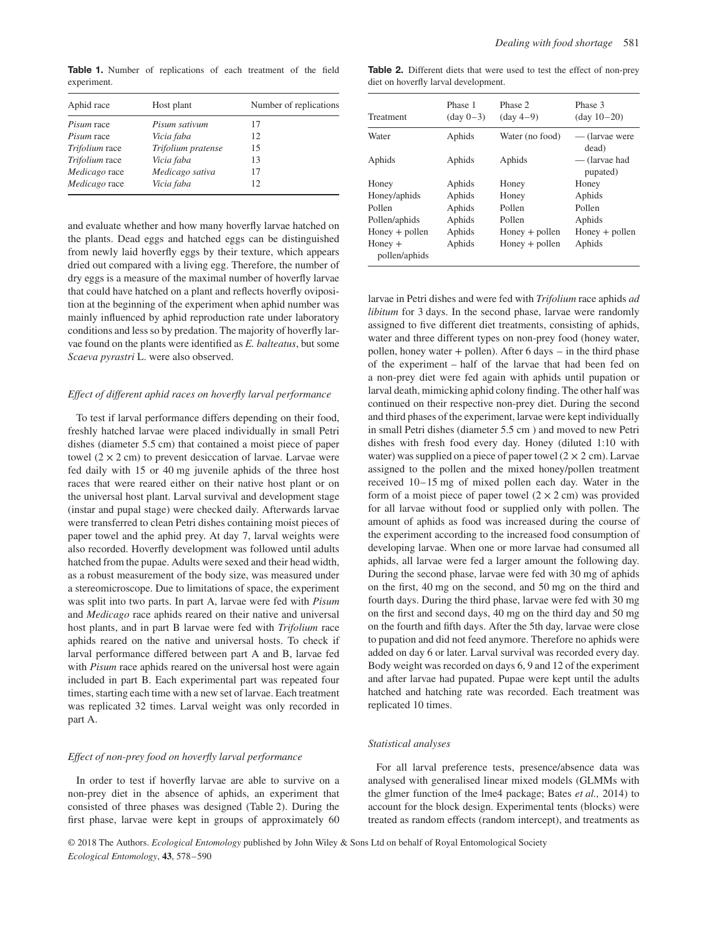**Table 1.** Number of replications of each treatment of the field experiment.

| Aphid race        | Host plant         | Number of replications |  |
|-------------------|--------------------|------------------------|--|
| <i>Pisum</i> race | Pisum sativum      | 17                     |  |
| Pisum race        | Vicia faba         | 12                     |  |
| Trifolium race    | Trifolium pratense | 15                     |  |
| Trifolium race    | Vicia faba         | 13                     |  |
| Medicago race     | Medicago sativa    | 17                     |  |
| Medicago race     | Vicia faba         | 12                     |  |

and evaluate whether and how many hoverfly larvae hatched on the plants. Dead eggs and hatched eggs can be distinguished from newly laid hoverfly eggs by their texture, which appears dried out compared with a living egg. Therefore, the number of dry eggs is a measure of the maximal number of hoverfly larvae that could have hatched on a plant and reflects hoverfly oviposition at the beginning of the experiment when aphid number was mainly influenced by aphid reproduction rate under laboratory conditions and less so by predation. The majority of hoverfly larvae found on the plants were identified as *E. balteatus*, but some *Scaeva pyrastri* L. were also observed.

## *Effect of different aphid races on hoverfly larval performance*

To test if larval performance differs depending on their food, freshly hatched larvae were placed individually in small Petri dishes (diameter 5.5 cm) that contained a moist piece of paper towel  $(2 \times 2$  cm) to prevent desiccation of larvae. Larvae were fed daily with 15 or 40 mg juvenile aphids of the three host races that were reared either on their native host plant or on the universal host plant. Larval survival and development stage (instar and pupal stage) were checked daily. Afterwards larvae were transferred to clean Petri dishes containing moist pieces of paper towel and the aphid prey. At day 7, larval weights were also recorded. Hoverfly development was followed until adults hatched from the pupae. Adults were sexed and their head width, as a robust measurement of the body size, was measured under a stereomicroscope. Due to limitations of space, the experiment was split into two parts. In part A, larvae were fed with *Pisum* and *Medicago* race aphids reared on their native and universal host plants, and in part B larvae were fed with *Trifolium* race aphids reared on the native and universal hosts. To check if larval performance differed between part A and B, larvae fed with *Pisum* race aphids reared on the universal host were again included in part B. Each experimental part was repeated four times, starting each time with a new set of larvae. Each treatment was replicated 32 times. Larval weight was only recorded in part A.

#### *Effect of non-prey food on hoverfly larval performance*

In order to test if hoverfly larvae are able to survive on a non-prey diet in the absence of aphids, an experiment that consisted of three phases was designed (Table 2). During the first phase, larvae were kept in groups of approximately 60

**Table 2.** Different diets that were used to test the effect of non-prey diet on hoverfly larval development.

| Treatment                  | Phase 1<br>$(\text{day } 0-3)$ | Phase 2<br>$(\text{day }4-9)$ | Phase 3<br>$(day 10-20)$  |
|----------------------------|--------------------------------|-------------------------------|---------------------------|
| Water                      | Aphids                         | Water (no food)               | — (larvae were<br>dead)   |
| Aphids                     | Aphids                         | Aphids                        | — (larvae had<br>pupated) |
| Honey                      | Aphids                         | Honey                         | Honey                     |
| Honey/aphids               | Aphids                         | Honey                         | Aphids                    |
| Pollen                     | Aphids                         | Pollen                        | Pollen                    |
| Pollen/aphids              | Aphids                         | Pollen                        | Aphids                    |
| $Honey + pollen$           | Aphids                         | $Honey + pollen$              | $Honey + pollen$          |
| $Honey +$<br>pollen/aphids | Aphids                         | $Honey + pollen$              | Aphids                    |

larvae in Petri dishes and were fed with *Trifolium* race aphids *ad libitum* for 3 days. In the second phase, larvae were randomly assigned to five different diet treatments, consisting of aphids, water and three different types on non-prey food (honey water, pollen, honey water  $+$  pollen). After 6 days  $-$  in the third phase of the experiment – half of the larvae that had been fed on a non-prey diet were fed again with aphids until pupation or larval death, mimicking aphid colony finding. The other half was continued on their respective non-prey diet. During the second and third phases of the experiment, larvae were kept individually in small Petri dishes (diameter 5.5 cm ) and moved to new Petri dishes with fresh food every day. Honey (diluted 1:10 with water) was supplied on a piece of paper towel  $(2 \times 2 \text{ cm})$ . Larvae assigned to the pollen and the mixed honey/pollen treatment received 10–15 mg of mixed pollen each day. Water in the form of a moist piece of paper towel  $(2 \times 2 \text{ cm})$  was provided for all larvae without food or supplied only with pollen. The amount of aphids as food was increased during the course of the experiment according to the increased food consumption of developing larvae. When one or more larvae had consumed all aphids, all larvae were fed a larger amount the following day. During the second phase, larvae were fed with 30 mg of aphids on the first, 40 mg on the second, and 50 mg on the third and fourth days. During the third phase, larvae were fed with 30 mg on the first and second days, 40 mg on the third day and 50 mg on the fourth and fifth days. After the 5th day, larvae were close to pupation and did not feed anymore. Therefore no aphids were added on day 6 or later. Larval survival was recorded every day. Body weight was recorded on days 6, 9 and 12 of the experiment and after larvae had pupated. Pupae were kept until the adults hatched and hatching rate was recorded. Each treatment was replicated 10 times.

## *Statistical analyses*

For all larval preference tests, presence/absence data was analysed with generalised linear mixed models (GLMMs with the glmer function of the lme4 package; Bates *et al.,* 2014) to account for the block design. Experimental tents (blocks) were treated as random effects (random intercept), and treatments as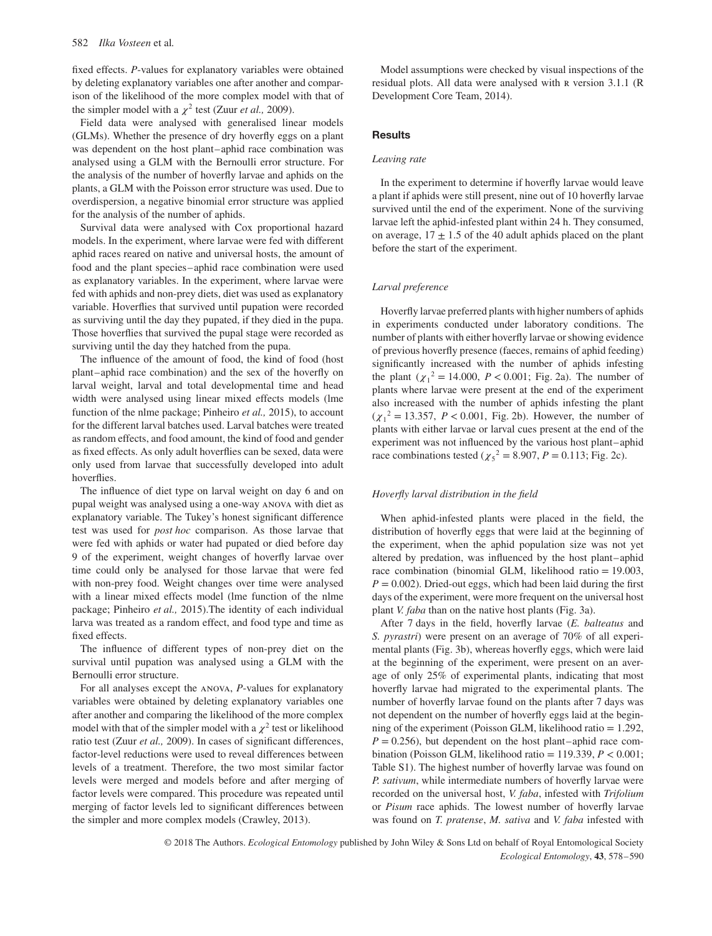fixed effects. *P*-values for explanatory variables were obtained by deleting explanatory variables one after another and comparison of the likelihood of the more complex model with that of the simpler model with a  $\chi^2$  test (Zuur *et al.*, 2009).

Field data were analysed with generalised linear models (GLMs). Whether the presence of dry hoverfly eggs on a plant was dependent on the host plant–aphid race combination was analysed using a GLM with the Bernoulli error structure. For the analysis of the number of hoverfly larvae and aphids on the plants, a GLM with the Poisson error structure was used. Due to overdispersion, a negative binomial error structure was applied for the analysis of the number of aphids.

Survival data were analysed with Cox proportional hazard models. In the experiment, where larvae were fed with different aphid races reared on native and universal hosts, the amount of food and the plant species–aphid race combination were used as explanatory variables. In the experiment, where larvae were fed with aphids and non-prey diets, diet was used as explanatory variable. Hoverflies that survived until pupation were recorded as surviving until the day they pupated, if they died in the pupa. Those hoverflies that survived the pupal stage were recorded as surviving until the day they hatched from the pupa.

The influence of the amount of food, the kind of food (host plant–aphid race combination) and the sex of the hoverfly on larval weight, larval and total developmental time and head width were analysed using linear mixed effects models (lme function of the nlme package; Pinheiro *et al.,* 2015), to account for the different larval batches used. Larval batches were treated as random effects, and food amount, the kind of food and gender as fixed effects. As only adult hoverflies can be sexed, data were only used from larvae that successfully developed into adult hoverflies.

The influence of diet type on larval weight on day 6 and on pupal weight was analysed using a one-way anova with diet as explanatory variable. The Tukey's honest significant difference test was used for *post hoc* comparison. As those larvae that were fed with aphids or water had pupated or died before day 9 of the experiment, weight changes of hoverfly larvae over time could only be analysed for those larvae that were fed with non-prey food. Weight changes over time were analysed with a linear mixed effects model (lme function of the nlme package; Pinheiro *et al.,* 2015).The identity of each individual larva was treated as a random effect, and food type and time as fixed effects.

The influence of different types of non-prey diet on the survival until pupation was analysed using a GLM with the Bernoulli error structure.

For all analyses except the anova, *P*-values for explanatory variables were obtained by deleting explanatory variables one after another and comparing the likelihood of the more complex model with that of the simpler model with a  $\chi^2$  test or likelihood ratio test (Zuur *et al.,* 2009). In cases of significant differences, factor-level reductions were used to reveal differences between levels of a treatment. Therefore, the two most similar factor levels were merged and models before and after merging of factor levels were compared. This procedure was repeated until merging of factor levels led to significant differences between the simpler and more complex models (Crawley, 2013).

Model assumptions were checked by visual inspections of the residual plots. All data were analysed with R version 3.1.1 (R Development Core Team, 2014).

## **Results**

## *Leaving rate*

In the experiment to determine if hoverfly larvae would leave a plant if aphids were still present, nine out of 10 hoverfly larvae survived until the end of the experiment. None of the surviving larvae left the aphid-infested plant within 24 h. They consumed, on average,  $17 \pm 1.5$  of the 40 adult aphids placed on the plant before the start of the experiment.

### *Larval preference*

Hoverfly larvae preferred plants with higher numbers of aphids in experiments conducted under laboratory conditions. The number of plants with either hoverfly larvae or showing evidence of previous hoverfly presence (faeces, remains of aphid feeding) significantly increased with the number of aphids infesting the plant  $(\chi_1^2 = 14.000, P < 0.001;$  Fig. 2a). The number of plants where larvae were present at the end of the experiment also increased with the number of aphids infesting the plant  $(\chi_1^2 = 13.357, P < 0.001,$  Fig. 2b). However, the number of plants with either larvae or larval cues present at the end of the experiment was not influenced by the various host plant–aphid race combinations tested ( $\chi_5^2 = 8.907$ , *P* = 0.113; Fig. 2c).

## *Hoverfly larval distribution in the field*

When aphid-infested plants were placed in the field, the distribution of hoverfly eggs that were laid at the beginning of the experiment, when the aphid population size was not yet altered by predation, was influenced by the host plant–aphid race combination (binomial GLM, likelihood ratio = 19.003,  $P = 0.002$ ). Dried-out eggs, which had been laid during the first days of the experiment, were more frequent on the universal host plant *V. faba* than on the native host plants (Fig. 3a).

After 7 days in the field, hoverfly larvae (*E. balteatus* and *S. pyrastri*) were present on an average of 70% of all experimental plants (Fig. 3b), whereas hoverfly eggs, which were laid at the beginning of the experiment, were present on an average of only 25% of experimental plants, indicating that most hoverfly larvae had migrated to the experimental plants. The number of hoverfly larvae found on the plants after 7 days was not dependent on the number of hoverfly eggs laid at the beginning of the experiment (Poisson GLM, likelihood ratio = 1.292,  $P = 0.256$ , but dependent on the host plant–aphid race combination (Poisson GLM, likelihood ratio = 119.339, *P <* 0.001; Table S1). The highest number of hoverfly larvae was found on *P. sativum*, while intermediate numbers of hoverfly larvae were recorded on the universal host, *V. faba*, infested with *Trifolium* or *Pisum* race aphids. The lowest number of hoverfly larvae was found on *T. pratense*, *M. sativa* and *V. faba* infested with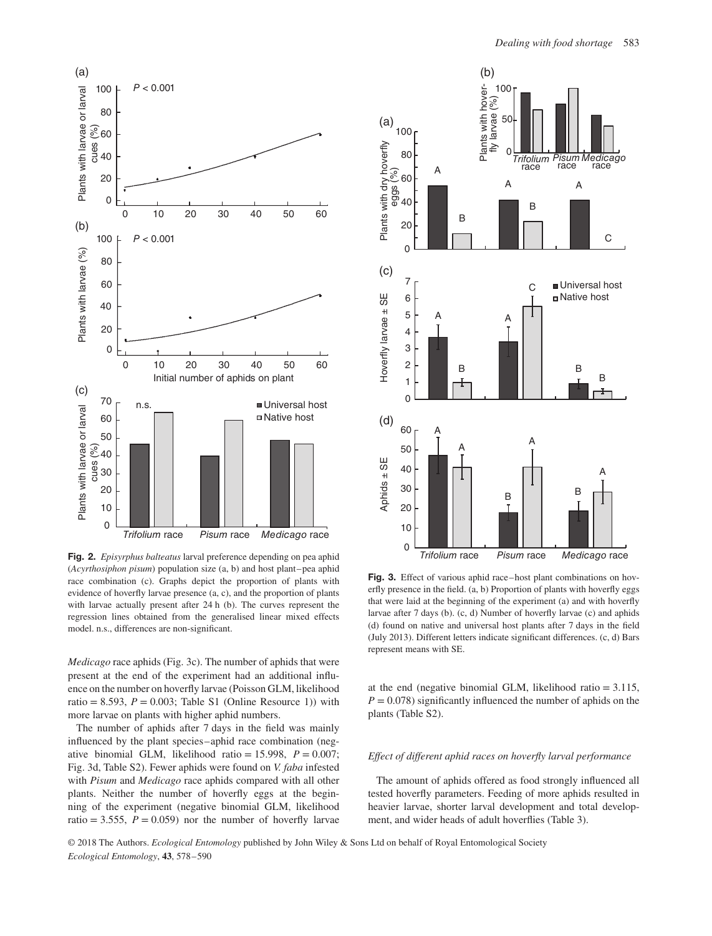

**Fig. 2.** *Episyrphus balteatus* larval preference depending on pea aphid (*Acyrthosiphon pisum*) population size (a, b) and host plant–pea aphid race combination (c). Graphs depict the proportion of plants with evidence of hoverfly larvae presence (a, c), and the proportion of plants with larvae actually present after 24 h (b). The curves represent the regression lines obtained from the generalised linear mixed effects model. n.s., differences are non-significant.

*Medicago* race aphids (Fig. 3c). The number of aphids that were present at the end of the experiment had an additional influence on the number on hoverfly larvae (Poisson GLM, likelihood ratio = 8.593,  $P = 0.003$ ; Table S1 (Online Resource 1)) with more larvae on plants with higher aphid numbers.

The number of aphids after 7 days in the field was mainly influenced by the plant species–aphid race combination (negative binomial GLM, likelihood ratio = 15.998,  $P = 0.007$ ; Fig. 3d, Table S2). Fewer aphids were found on *V. faba* infested with *Pisum* and *Medicago* race aphids compared with all other plants. Neither the number of hoverfly eggs at the beginning of the experiment (negative binomial GLM, likelihood ratio = 3.555,  $P = 0.059$ ) nor the number of hoverfly larvae



**Fig. 3.** Effect of various aphid race–host plant combinations on hoverfly presence in the field. (a, b) Proportion of plants with hoverfly eggs that were laid at the beginning of the experiment (a) and with hoverfly larvae after 7 days (b). (c, d) Number of hoverfly larvae (c) and aphids (d) found on native and universal host plants after 7 days in the field (July 2013). Different letters indicate significant differences. (c, d) Bars represent means with SE.

at the end (negative binomial GLM, likelihood ratio = 3.115,  $P = 0.078$ ) significantly influenced the number of aphids on the plants (Table S2).

## *Effect of different aphid races on hoverfly larval performance*

The amount of aphids offered as food strongly influenced all tested hoverfly parameters. Feeding of more aphids resulted in heavier larvae, shorter larval development and total development, and wider heads of adult hoverflies (Table 3).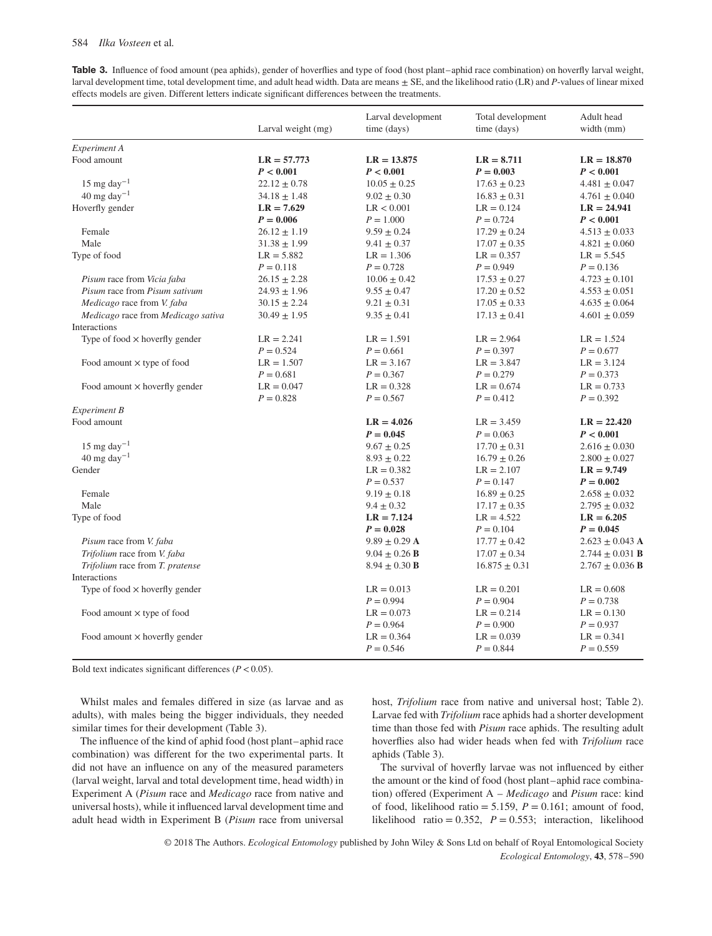**Table 3.** Influence of food amount (pea aphids), gender of hoverflies and type of food (host plant–aphid race combination) on hoverfly larval weight, larval development time, total development time, and adult head width. Data are means ± SE, and the likelihood ratio (LR) and *P*-values of linear mixed effects models are given. Different letters indicate significant differences between the treatments.

| Experiment A<br>Food amount<br>$LR = 57.773$<br>$LR = 8.711$<br>$LR = 13.875$<br>$LR = 18.870$<br>P < 0.001<br>P < 0.001<br>$P = 0.003$<br>P < 0.001<br>$15 \text{ mg day}^{-1}$<br>$22.12 \pm 0.78$<br>$10.05 \pm 0.25$<br>$17.63 \pm 0.23$<br>$4.481 \pm 0.047$<br>$40 \text{ mg day}^{-1}$<br>$34.18 \pm 1.48$<br>$9.02 \pm 0.30$<br>$16.83 \pm 0.31$<br>$4.761 \pm 0.040$<br>Hoverfly gender<br>$LR = 7.629$<br>LR < 0.001<br>$LR = 0.124$<br>$LR = 24.941$<br>$P = 0.006$<br>$P = 1.000$<br>$P = 0.724$<br>P < 0.001<br>Female<br>$26.12 \pm 1.19$<br>$17.29 \pm 0.24$<br>$9.59 \pm 0.24$<br>$4.513 \pm 0.033$<br>Male<br>$31.38 \pm 1.99$<br>$9.41 \pm 0.37$<br>$17.07 \pm 0.35$<br>$4.821 \pm 0.060$<br>Type of food<br>$LR = 5.882$<br>$LR = 1.306$<br>$LR = 0.357$<br>$LR = 5.545$<br>$P = 0.118$<br>$P = 0.728$<br>$P = 0.949$<br>$P = 0.136$<br>Pisum race from Vicia faba<br>$26.15 \pm 2.28$<br>$10.06 \pm 0.42$<br>$17.53 \pm 0.27$<br>$4.723 \pm 0.101$<br>Pisum race from Pisum sativum<br>$24.93 \pm 1.96$<br>$9.55 \pm 0.47$<br>$17.20 \pm 0.52$<br>$4.553 \pm 0.051$<br>Medicago race from V. faba<br>$9.21 \pm 0.31$<br>$17.05 \pm 0.33$<br>$30.15 \pm 2.24$<br>$4.635 \pm 0.064$<br>Medicago race from Medicago sativa<br>$30.49 \pm 1.95$<br>$9.35 \pm 0.41$<br>$17.13 \pm 0.41$<br>$4.601 \pm 0.059$<br>Interactions<br>Type of food $\times$ hoverfly gender<br>$LR = 2.241$<br>$LR = 2.964$<br>$LR = 1.591$<br>$LR = 1.524$<br>$P = 0.524$<br>$P = 0.661$<br>$P = 0.397$<br>$P = 0.677$<br>$LR = 1.507$<br>$LR = 3.167$<br>$LR = 3.847$<br>$LR = 3.124$<br>Food amount $\times$ type of food<br>$P = 0.681$<br>$P = 0.367$<br>$P = 0.279$<br>$P = 0.373$<br>Food amount $\times$ hoverfly gender<br>$LR = 0.047$<br>$LR = 0.328$<br>$LR = 0.674$<br>$LR = 0.733$<br>$P = 0.828$<br>$P = 0.567$<br>$P = 0.412$<br>$P = 0.392$<br><b>Experiment B</b><br>Food amount<br>$LR = 4.026$<br>$LR = 22.420$<br>$LR = 3.459$<br>$P = 0.045$<br>P < 0.001<br>$P = 0.063$<br>15 mg day $^{-1}$<br>$9.67 \pm 0.25$<br>$17.70 \pm 0.31$<br>$2.616 \pm 0.030$<br>$40 \text{ mg day}^{-1}$<br>$16.79 \pm 0.26$<br>$8.93 \pm 0.22$<br>$2.800 \pm 0.027$<br>Gender<br>$LR = 0.382$<br>$LR = 2.107$<br>$LR = 9.749$<br>$P = 0.147$<br>$P = 0.537$<br>$P = 0.002$<br>Female<br>$9.19 \pm 0.18$<br>$16.89 \pm 0.25$<br>$2.658 \pm 0.032$<br>Male<br>$9.4 \pm 0.32$<br>$17.17 \pm 0.35$<br>$2.795 \pm 0.032$<br>Type of food<br>$LR = 7.124$<br>$LR = 4.522$<br>$LR = 6.205$<br>$P = 0.028$<br>$P = 0.104$<br>$P = 0.045$<br>Pisum race from V. faba<br>$9.89 \pm 0.29$ A<br>$17.77 \pm 0.42$<br>Trifolium race from V. faba<br>$9.04 \pm 0.26$ <b>B</b><br>$17.07 \pm 0.34$<br>Trifolium race from T. pratense<br>$8.94 \pm 0.30$ B<br>$16.875 \pm 0.31$<br>Interactions<br>Type of food $\times$ hoverfly gender<br>$LR = 0.013$<br>$LR = 0.201$<br>$LR = 0.608$<br>$P = 0.904$<br>$P = 0.994$<br>$P = 0.738$<br>Food amount $\times$ type of food<br>$LR = 0.073$<br>$LR = 0.214$<br>$LR = 0.130$<br>$P = 0.900$<br>$P = 0.964$<br>$P = 0.937$<br>Food amount $\times$ hoverfly gender<br>$LR = 0.364$<br>$LR = 0.039$<br>$LR = 0.341$ | Larval weight (mg) | Larval development<br>time (days) | Total development<br>time (days) | Adult head<br>width (mm)   |
|-----------------------------------------------------------------------------------------------------------------------------------------------------------------------------------------------------------------------------------------------------------------------------------------------------------------------------------------------------------------------------------------------------------------------------------------------------------------------------------------------------------------------------------------------------------------------------------------------------------------------------------------------------------------------------------------------------------------------------------------------------------------------------------------------------------------------------------------------------------------------------------------------------------------------------------------------------------------------------------------------------------------------------------------------------------------------------------------------------------------------------------------------------------------------------------------------------------------------------------------------------------------------------------------------------------------------------------------------------------------------------------------------------------------------------------------------------------------------------------------------------------------------------------------------------------------------------------------------------------------------------------------------------------------------------------------------------------------------------------------------------------------------------------------------------------------------------------------------------------------------------------------------------------------------------------------------------------------------------------------------------------------------------------------------------------------------------------------------------------------------------------------------------------------------------------------------------------------------------------------------------------------------------------------------------------------------------------------------------------------------------------------------------------------------------------------------------------------------------------------------------------------------------------------------------------------------------------------------------------------------------------------------------------------------------------------------------------------------------------------------------------------------------------------------------------------------------------------------------------------------------------------------------------------------------------------------------------------------------------------------------------------------------------------------------------------------------------------------------------------------------------------------|--------------------|-----------------------------------|----------------------------------|----------------------------|
|                                                                                                                                                                                                                                                                                                                                                                                                                                                                                                                                                                                                                                                                                                                                                                                                                                                                                                                                                                                                                                                                                                                                                                                                                                                                                                                                                                                                                                                                                                                                                                                                                                                                                                                                                                                                                                                                                                                                                                                                                                                                                                                                                                                                                                                                                                                                                                                                                                                                                                                                                                                                                                                                                                                                                                                                                                                                                                                                                                                                                                                                                                                                               |                    |                                   |                                  |                            |
|                                                                                                                                                                                                                                                                                                                                                                                                                                                                                                                                                                                                                                                                                                                                                                                                                                                                                                                                                                                                                                                                                                                                                                                                                                                                                                                                                                                                                                                                                                                                                                                                                                                                                                                                                                                                                                                                                                                                                                                                                                                                                                                                                                                                                                                                                                                                                                                                                                                                                                                                                                                                                                                                                                                                                                                                                                                                                                                                                                                                                                                                                                                                               |                    |                                   |                                  |                            |
|                                                                                                                                                                                                                                                                                                                                                                                                                                                                                                                                                                                                                                                                                                                                                                                                                                                                                                                                                                                                                                                                                                                                                                                                                                                                                                                                                                                                                                                                                                                                                                                                                                                                                                                                                                                                                                                                                                                                                                                                                                                                                                                                                                                                                                                                                                                                                                                                                                                                                                                                                                                                                                                                                                                                                                                                                                                                                                                                                                                                                                                                                                                                               |                    |                                   |                                  |                            |
|                                                                                                                                                                                                                                                                                                                                                                                                                                                                                                                                                                                                                                                                                                                                                                                                                                                                                                                                                                                                                                                                                                                                                                                                                                                                                                                                                                                                                                                                                                                                                                                                                                                                                                                                                                                                                                                                                                                                                                                                                                                                                                                                                                                                                                                                                                                                                                                                                                                                                                                                                                                                                                                                                                                                                                                                                                                                                                                                                                                                                                                                                                                                               |                    |                                   |                                  |                            |
|                                                                                                                                                                                                                                                                                                                                                                                                                                                                                                                                                                                                                                                                                                                                                                                                                                                                                                                                                                                                                                                                                                                                                                                                                                                                                                                                                                                                                                                                                                                                                                                                                                                                                                                                                                                                                                                                                                                                                                                                                                                                                                                                                                                                                                                                                                                                                                                                                                                                                                                                                                                                                                                                                                                                                                                                                                                                                                                                                                                                                                                                                                                                               |                    |                                   |                                  |                            |
|                                                                                                                                                                                                                                                                                                                                                                                                                                                                                                                                                                                                                                                                                                                                                                                                                                                                                                                                                                                                                                                                                                                                                                                                                                                                                                                                                                                                                                                                                                                                                                                                                                                                                                                                                                                                                                                                                                                                                                                                                                                                                                                                                                                                                                                                                                                                                                                                                                                                                                                                                                                                                                                                                                                                                                                                                                                                                                                                                                                                                                                                                                                                               |                    |                                   |                                  |                            |
|                                                                                                                                                                                                                                                                                                                                                                                                                                                                                                                                                                                                                                                                                                                                                                                                                                                                                                                                                                                                                                                                                                                                                                                                                                                                                                                                                                                                                                                                                                                                                                                                                                                                                                                                                                                                                                                                                                                                                                                                                                                                                                                                                                                                                                                                                                                                                                                                                                                                                                                                                                                                                                                                                                                                                                                                                                                                                                                                                                                                                                                                                                                                               |                    |                                   |                                  |                            |
|                                                                                                                                                                                                                                                                                                                                                                                                                                                                                                                                                                                                                                                                                                                                                                                                                                                                                                                                                                                                                                                                                                                                                                                                                                                                                                                                                                                                                                                                                                                                                                                                                                                                                                                                                                                                                                                                                                                                                                                                                                                                                                                                                                                                                                                                                                                                                                                                                                                                                                                                                                                                                                                                                                                                                                                                                                                                                                                                                                                                                                                                                                                                               |                    |                                   |                                  |                            |
|                                                                                                                                                                                                                                                                                                                                                                                                                                                                                                                                                                                                                                                                                                                                                                                                                                                                                                                                                                                                                                                                                                                                                                                                                                                                                                                                                                                                                                                                                                                                                                                                                                                                                                                                                                                                                                                                                                                                                                                                                                                                                                                                                                                                                                                                                                                                                                                                                                                                                                                                                                                                                                                                                                                                                                                                                                                                                                                                                                                                                                                                                                                                               |                    |                                   |                                  |                            |
|                                                                                                                                                                                                                                                                                                                                                                                                                                                                                                                                                                                                                                                                                                                                                                                                                                                                                                                                                                                                                                                                                                                                                                                                                                                                                                                                                                                                                                                                                                                                                                                                                                                                                                                                                                                                                                                                                                                                                                                                                                                                                                                                                                                                                                                                                                                                                                                                                                                                                                                                                                                                                                                                                                                                                                                                                                                                                                                                                                                                                                                                                                                                               |                    |                                   |                                  |                            |
|                                                                                                                                                                                                                                                                                                                                                                                                                                                                                                                                                                                                                                                                                                                                                                                                                                                                                                                                                                                                                                                                                                                                                                                                                                                                                                                                                                                                                                                                                                                                                                                                                                                                                                                                                                                                                                                                                                                                                                                                                                                                                                                                                                                                                                                                                                                                                                                                                                                                                                                                                                                                                                                                                                                                                                                                                                                                                                                                                                                                                                                                                                                                               |                    |                                   |                                  |                            |
|                                                                                                                                                                                                                                                                                                                                                                                                                                                                                                                                                                                                                                                                                                                                                                                                                                                                                                                                                                                                                                                                                                                                                                                                                                                                                                                                                                                                                                                                                                                                                                                                                                                                                                                                                                                                                                                                                                                                                                                                                                                                                                                                                                                                                                                                                                                                                                                                                                                                                                                                                                                                                                                                                                                                                                                                                                                                                                                                                                                                                                                                                                                                               |                    |                                   |                                  |                            |
|                                                                                                                                                                                                                                                                                                                                                                                                                                                                                                                                                                                                                                                                                                                                                                                                                                                                                                                                                                                                                                                                                                                                                                                                                                                                                                                                                                                                                                                                                                                                                                                                                                                                                                                                                                                                                                                                                                                                                                                                                                                                                                                                                                                                                                                                                                                                                                                                                                                                                                                                                                                                                                                                                                                                                                                                                                                                                                                                                                                                                                                                                                                                               |                    |                                   |                                  |                            |
|                                                                                                                                                                                                                                                                                                                                                                                                                                                                                                                                                                                                                                                                                                                                                                                                                                                                                                                                                                                                                                                                                                                                                                                                                                                                                                                                                                                                                                                                                                                                                                                                                                                                                                                                                                                                                                                                                                                                                                                                                                                                                                                                                                                                                                                                                                                                                                                                                                                                                                                                                                                                                                                                                                                                                                                                                                                                                                                                                                                                                                                                                                                                               |                    |                                   |                                  |                            |
|                                                                                                                                                                                                                                                                                                                                                                                                                                                                                                                                                                                                                                                                                                                                                                                                                                                                                                                                                                                                                                                                                                                                                                                                                                                                                                                                                                                                                                                                                                                                                                                                                                                                                                                                                                                                                                                                                                                                                                                                                                                                                                                                                                                                                                                                                                                                                                                                                                                                                                                                                                                                                                                                                                                                                                                                                                                                                                                                                                                                                                                                                                                                               |                    |                                   |                                  |                            |
|                                                                                                                                                                                                                                                                                                                                                                                                                                                                                                                                                                                                                                                                                                                                                                                                                                                                                                                                                                                                                                                                                                                                                                                                                                                                                                                                                                                                                                                                                                                                                                                                                                                                                                                                                                                                                                                                                                                                                                                                                                                                                                                                                                                                                                                                                                                                                                                                                                                                                                                                                                                                                                                                                                                                                                                                                                                                                                                                                                                                                                                                                                                                               |                    |                                   |                                  |                            |
|                                                                                                                                                                                                                                                                                                                                                                                                                                                                                                                                                                                                                                                                                                                                                                                                                                                                                                                                                                                                                                                                                                                                                                                                                                                                                                                                                                                                                                                                                                                                                                                                                                                                                                                                                                                                                                                                                                                                                                                                                                                                                                                                                                                                                                                                                                                                                                                                                                                                                                                                                                                                                                                                                                                                                                                                                                                                                                                                                                                                                                                                                                                                               |                    |                                   |                                  |                            |
|                                                                                                                                                                                                                                                                                                                                                                                                                                                                                                                                                                                                                                                                                                                                                                                                                                                                                                                                                                                                                                                                                                                                                                                                                                                                                                                                                                                                                                                                                                                                                                                                                                                                                                                                                                                                                                                                                                                                                                                                                                                                                                                                                                                                                                                                                                                                                                                                                                                                                                                                                                                                                                                                                                                                                                                                                                                                                                                                                                                                                                                                                                                                               |                    |                                   |                                  |                            |
|                                                                                                                                                                                                                                                                                                                                                                                                                                                                                                                                                                                                                                                                                                                                                                                                                                                                                                                                                                                                                                                                                                                                                                                                                                                                                                                                                                                                                                                                                                                                                                                                                                                                                                                                                                                                                                                                                                                                                                                                                                                                                                                                                                                                                                                                                                                                                                                                                                                                                                                                                                                                                                                                                                                                                                                                                                                                                                                                                                                                                                                                                                                                               |                    |                                   |                                  |                            |
|                                                                                                                                                                                                                                                                                                                                                                                                                                                                                                                                                                                                                                                                                                                                                                                                                                                                                                                                                                                                                                                                                                                                                                                                                                                                                                                                                                                                                                                                                                                                                                                                                                                                                                                                                                                                                                                                                                                                                                                                                                                                                                                                                                                                                                                                                                                                                                                                                                                                                                                                                                                                                                                                                                                                                                                                                                                                                                                                                                                                                                                                                                                                               |                    |                                   |                                  |                            |
|                                                                                                                                                                                                                                                                                                                                                                                                                                                                                                                                                                                                                                                                                                                                                                                                                                                                                                                                                                                                                                                                                                                                                                                                                                                                                                                                                                                                                                                                                                                                                                                                                                                                                                                                                                                                                                                                                                                                                                                                                                                                                                                                                                                                                                                                                                                                                                                                                                                                                                                                                                                                                                                                                                                                                                                                                                                                                                                                                                                                                                                                                                                                               |                    |                                   |                                  |                            |
|                                                                                                                                                                                                                                                                                                                                                                                                                                                                                                                                                                                                                                                                                                                                                                                                                                                                                                                                                                                                                                                                                                                                                                                                                                                                                                                                                                                                                                                                                                                                                                                                                                                                                                                                                                                                                                                                                                                                                                                                                                                                                                                                                                                                                                                                                                                                                                                                                                                                                                                                                                                                                                                                                                                                                                                                                                                                                                                                                                                                                                                                                                                                               |                    |                                   |                                  |                            |
|                                                                                                                                                                                                                                                                                                                                                                                                                                                                                                                                                                                                                                                                                                                                                                                                                                                                                                                                                                                                                                                                                                                                                                                                                                                                                                                                                                                                                                                                                                                                                                                                                                                                                                                                                                                                                                                                                                                                                                                                                                                                                                                                                                                                                                                                                                                                                                                                                                                                                                                                                                                                                                                                                                                                                                                                                                                                                                                                                                                                                                                                                                                                               |                    |                                   |                                  |                            |
|                                                                                                                                                                                                                                                                                                                                                                                                                                                                                                                                                                                                                                                                                                                                                                                                                                                                                                                                                                                                                                                                                                                                                                                                                                                                                                                                                                                                                                                                                                                                                                                                                                                                                                                                                                                                                                                                                                                                                                                                                                                                                                                                                                                                                                                                                                                                                                                                                                                                                                                                                                                                                                                                                                                                                                                                                                                                                                                                                                                                                                                                                                                                               |                    |                                   |                                  |                            |
|                                                                                                                                                                                                                                                                                                                                                                                                                                                                                                                                                                                                                                                                                                                                                                                                                                                                                                                                                                                                                                                                                                                                                                                                                                                                                                                                                                                                                                                                                                                                                                                                                                                                                                                                                                                                                                                                                                                                                                                                                                                                                                                                                                                                                                                                                                                                                                                                                                                                                                                                                                                                                                                                                                                                                                                                                                                                                                                                                                                                                                                                                                                                               |                    |                                   |                                  |                            |
|                                                                                                                                                                                                                                                                                                                                                                                                                                                                                                                                                                                                                                                                                                                                                                                                                                                                                                                                                                                                                                                                                                                                                                                                                                                                                                                                                                                                                                                                                                                                                                                                                                                                                                                                                                                                                                                                                                                                                                                                                                                                                                                                                                                                                                                                                                                                                                                                                                                                                                                                                                                                                                                                                                                                                                                                                                                                                                                                                                                                                                                                                                                                               |                    |                                   |                                  |                            |
|                                                                                                                                                                                                                                                                                                                                                                                                                                                                                                                                                                                                                                                                                                                                                                                                                                                                                                                                                                                                                                                                                                                                                                                                                                                                                                                                                                                                                                                                                                                                                                                                                                                                                                                                                                                                                                                                                                                                                                                                                                                                                                                                                                                                                                                                                                                                                                                                                                                                                                                                                                                                                                                                                                                                                                                                                                                                                                                                                                                                                                                                                                                                               |                    |                                   |                                  |                            |
|                                                                                                                                                                                                                                                                                                                                                                                                                                                                                                                                                                                                                                                                                                                                                                                                                                                                                                                                                                                                                                                                                                                                                                                                                                                                                                                                                                                                                                                                                                                                                                                                                                                                                                                                                                                                                                                                                                                                                                                                                                                                                                                                                                                                                                                                                                                                                                                                                                                                                                                                                                                                                                                                                                                                                                                                                                                                                                                                                                                                                                                                                                                                               |                    |                                   |                                  |                            |
|                                                                                                                                                                                                                                                                                                                                                                                                                                                                                                                                                                                                                                                                                                                                                                                                                                                                                                                                                                                                                                                                                                                                                                                                                                                                                                                                                                                                                                                                                                                                                                                                                                                                                                                                                                                                                                                                                                                                                                                                                                                                                                                                                                                                                                                                                                                                                                                                                                                                                                                                                                                                                                                                                                                                                                                                                                                                                                                                                                                                                                                                                                                                               |                    |                                   |                                  |                            |
|                                                                                                                                                                                                                                                                                                                                                                                                                                                                                                                                                                                                                                                                                                                                                                                                                                                                                                                                                                                                                                                                                                                                                                                                                                                                                                                                                                                                                                                                                                                                                                                                                                                                                                                                                                                                                                                                                                                                                                                                                                                                                                                                                                                                                                                                                                                                                                                                                                                                                                                                                                                                                                                                                                                                                                                                                                                                                                                                                                                                                                                                                                                                               |                    |                                   |                                  |                            |
|                                                                                                                                                                                                                                                                                                                                                                                                                                                                                                                                                                                                                                                                                                                                                                                                                                                                                                                                                                                                                                                                                                                                                                                                                                                                                                                                                                                                                                                                                                                                                                                                                                                                                                                                                                                                                                                                                                                                                                                                                                                                                                                                                                                                                                                                                                                                                                                                                                                                                                                                                                                                                                                                                                                                                                                                                                                                                                                                                                                                                                                                                                                                               |                    |                                   |                                  |                            |
|                                                                                                                                                                                                                                                                                                                                                                                                                                                                                                                                                                                                                                                                                                                                                                                                                                                                                                                                                                                                                                                                                                                                                                                                                                                                                                                                                                                                                                                                                                                                                                                                                                                                                                                                                                                                                                                                                                                                                                                                                                                                                                                                                                                                                                                                                                                                                                                                                                                                                                                                                                                                                                                                                                                                                                                                                                                                                                                                                                                                                                                                                                                                               |                    |                                   |                                  | $2.623 \pm 0.043$ A        |
|                                                                                                                                                                                                                                                                                                                                                                                                                                                                                                                                                                                                                                                                                                                                                                                                                                                                                                                                                                                                                                                                                                                                                                                                                                                                                                                                                                                                                                                                                                                                                                                                                                                                                                                                                                                                                                                                                                                                                                                                                                                                                                                                                                                                                                                                                                                                                                                                                                                                                                                                                                                                                                                                                                                                                                                                                                                                                                                                                                                                                                                                                                                                               |                    |                                   |                                  | $2.744 \pm 0.031$ <b>B</b> |
|                                                                                                                                                                                                                                                                                                                                                                                                                                                                                                                                                                                                                                                                                                                                                                                                                                                                                                                                                                                                                                                                                                                                                                                                                                                                                                                                                                                                                                                                                                                                                                                                                                                                                                                                                                                                                                                                                                                                                                                                                                                                                                                                                                                                                                                                                                                                                                                                                                                                                                                                                                                                                                                                                                                                                                                                                                                                                                                                                                                                                                                                                                                                               |                    |                                   |                                  | $2.767 \pm 0.036$ B        |
|                                                                                                                                                                                                                                                                                                                                                                                                                                                                                                                                                                                                                                                                                                                                                                                                                                                                                                                                                                                                                                                                                                                                                                                                                                                                                                                                                                                                                                                                                                                                                                                                                                                                                                                                                                                                                                                                                                                                                                                                                                                                                                                                                                                                                                                                                                                                                                                                                                                                                                                                                                                                                                                                                                                                                                                                                                                                                                                                                                                                                                                                                                                                               |                    |                                   |                                  |                            |
|                                                                                                                                                                                                                                                                                                                                                                                                                                                                                                                                                                                                                                                                                                                                                                                                                                                                                                                                                                                                                                                                                                                                                                                                                                                                                                                                                                                                                                                                                                                                                                                                                                                                                                                                                                                                                                                                                                                                                                                                                                                                                                                                                                                                                                                                                                                                                                                                                                                                                                                                                                                                                                                                                                                                                                                                                                                                                                                                                                                                                                                                                                                                               |                    |                                   |                                  |                            |
|                                                                                                                                                                                                                                                                                                                                                                                                                                                                                                                                                                                                                                                                                                                                                                                                                                                                                                                                                                                                                                                                                                                                                                                                                                                                                                                                                                                                                                                                                                                                                                                                                                                                                                                                                                                                                                                                                                                                                                                                                                                                                                                                                                                                                                                                                                                                                                                                                                                                                                                                                                                                                                                                                                                                                                                                                                                                                                                                                                                                                                                                                                                                               |                    |                                   |                                  |                            |
|                                                                                                                                                                                                                                                                                                                                                                                                                                                                                                                                                                                                                                                                                                                                                                                                                                                                                                                                                                                                                                                                                                                                                                                                                                                                                                                                                                                                                                                                                                                                                                                                                                                                                                                                                                                                                                                                                                                                                                                                                                                                                                                                                                                                                                                                                                                                                                                                                                                                                                                                                                                                                                                                                                                                                                                                                                                                                                                                                                                                                                                                                                                                               |                    |                                   |                                  |                            |
|                                                                                                                                                                                                                                                                                                                                                                                                                                                                                                                                                                                                                                                                                                                                                                                                                                                                                                                                                                                                                                                                                                                                                                                                                                                                                                                                                                                                                                                                                                                                                                                                                                                                                                                                                                                                                                                                                                                                                                                                                                                                                                                                                                                                                                                                                                                                                                                                                                                                                                                                                                                                                                                                                                                                                                                                                                                                                                                                                                                                                                                                                                                                               |                    |                                   |                                  |                            |
|                                                                                                                                                                                                                                                                                                                                                                                                                                                                                                                                                                                                                                                                                                                                                                                                                                                                                                                                                                                                                                                                                                                                                                                                                                                                                                                                                                                                                                                                                                                                                                                                                                                                                                                                                                                                                                                                                                                                                                                                                                                                                                                                                                                                                                                                                                                                                                                                                                                                                                                                                                                                                                                                                                                                                                                                                                                                                                                                                                                                                                                                                                                                               |                    |                                   |                                  |                            |
|                                                                                                                                                                                                                                                                                                                                                                                                                                                                                                                                                                                                                                                                                                                                                                                                                                                                                                                                                                                                                                                                                                                                                                                                                                                                                                                                                                                                                                                                                                                                                                                                                                                                                                                                                                                                                                                                                                                                                                                                                                                                                                                                                                                                                                                                                                                                                                                                                                                                                                                                                                                                                                                                                                                                                                                                                                                                                                                                                                                                                                                                                                                                               |                    | $P = 0.546$                       | $P = 0.844$                      | $P = 0.559$                |

Bold text indicates significant differences (*P<*0.05).

Whilst males and females differed in size (as larvae and as adults), with males being the bigger individuals, they needed similar times for their development (Table 3).

The influence of the kind of aphid food (host plant–aphid race combination) was different for the two experimental parts. It did not have an influence on any of the measured parameters (larval weight, larval and total development time, head width) in Experiment A (*Pisum* race and *Medicago* race from native and universal hosts), while it influenced larval development time and adult head width in Experiment B (*Pisum* race from universal host, *Trifolium* race from native and universal host; Table 2). Larvae fed with *Trifolium* race aphids had a shorter development time than those fed with *Pisum* race aphids. The resulting adult hoverflies also had wider heads when fed with *Trifolium* race aphids (Table 3).

The survival of hoverfly larvae was not influenced by either the amount or the kind of food (host plant–aphid race combination) offered (Experiment A – *Medicago* and *Pisum* race: kind of food, likelihood ratio = 5.159,  $P = 0.161$ ; amount of food, likelihood ratio =  $0.352$ ,  $P = 0.553$ ; interaction, likelihood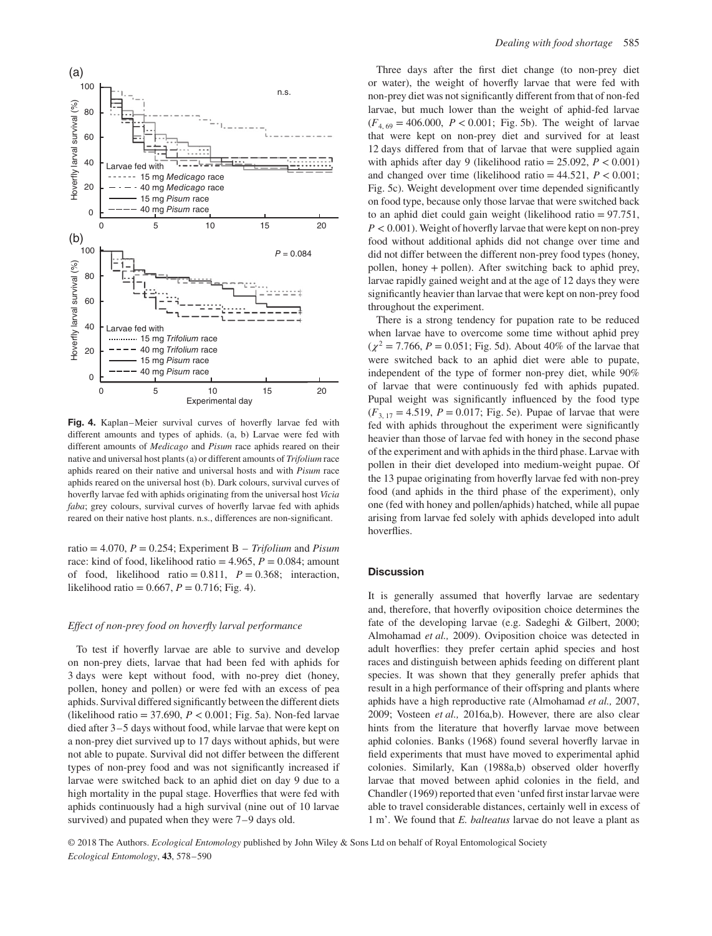

**Fig. 4.** Kaplan–Meier survival curves of hoverfly larvae fed with different amounts and types of aphids. (a, b) Larvae were fed with different amounts of *Medicago* and *Pisum* race aphids reared on their native and universal host plants (a) or different amounts of *Trifolium* race aphids reared on their native and universal hosts and with *Pisum* race aphids reared on the universal host (b). Dark colours, survival curves of hoverfly larvae fed with aphids originating from the universal host *Vicia faba*; grey colours, survival curves of hoverfly larvae fed with aphids reared on their native host plants. n.s., differences are non-significant.

ratio = 4.070, *P* = 0.254; Experiment B – *Trifolium* and *Pisum* race: kind of food, likelihood ratio =  $4.965$ ,  $P = 0.084$ ; amount of food, likelihood ratio =  $0.811$ ,  $P = 0.368$ ; interaction, likelihood ratio =  $0.667$ ,  $P = 0.716$ ; Fig. 4).

#### *Effect of non-prey food on hoverfly larval performance*

To test if hoverfly larvae are able to survive and develop on non-prey diets, larvae that had been fed with aphids for 3 days were kept without food, with no-prey diet (honey, pollen, honey and pollen) or were fed with an excess of pea aphids. Survival differed significantly between the different diets (likelihood ratio = 37.690, *P <* 0.001; Fig. 5a). Non-fed larvae died after 3–5 days without food, while larvae that were kept on a non-prey diet survived up to 17 days without aphids, but were not able to pupate. Survival did not differ between the different types of non-prey food and was not significantly increased if larvae were switched back to an aphid diet on day 9 due to a high mortality in the pupal stage. Hoverflies that were fed with aphids continuously had a high survival (nine out of 10 larvae survived) and pupated when they were 7–9 days old.

Three days after the first diet change (to non-prey diet or water), the weight of hoverfly larvae that were fed with non-prey diet was not significantly different from that of non-fed larvae, but much lower than the weight of aphid-fed larvae  $(F_{4, 69} = 406.000, P < 0.001$ ; Fig. 5b). The weight of larvae that were kept on non-prey diet and survived for at least 12 days differed from that of larvae that were supplied again with aphids after day 9 (likelihood ratio =  $25.092$ ,  $P < 0.001$ ) and changed over time (likelihood ratio  $= 44.521, P < 0.001;$ Fig. 5c). Weight development over time depended significantly on food type, because only those larvae that were switched back to an aphid diet could gain weight (likelihood ratio = 97.751, *P <* 0.001). Weight of hoverfly larvae that were kept on non-prey food without additional aphids did not change over time and did not differ between the different non-prey food types (honey, pollen, honey + pollen). After switching back to aphid prey, larvae rapidly gained weight and at the age of 12 days they were significantly heavier than larvae that were kept on non-prey food throughout the experiment.

There is a strong tendency for pupation rate to be reduced when larvae have to overcome some time without aphid prey  $(\chi^2 = 7.766, P = 0.051;$  Fig. 5d). About 40% of the larvae that were switched back to an aphid diet were able to pupate, independent of the type of former non-prey diet, while 90% of larvae that were continuously fed with aphids pupated. Pupal weight was significantly influenced by the food type  $(F_{3, 17} = 4.519, P = 0.017;$  Fig. 5e). Pupae of larvae that were fed with aphids throughout the experiment were significantly heavier than those of larvae fed with honey in the second phase of the experiment and with aphids in the third phase. Larvae with pollen in their diet developed into medium-weight pupae. Of the 13 pupae originating from hoverfly larvae fed with non-prey food (and aphids in the third phase of the experiment), only one (fed with honey and pollen/aphids) hatched, while all pupae arising from larvae fed solely with aphids developed into adult hoverflies.

## **Discussion**

It is generally assumed that hoverfly larvae are sedentary and, therefore, that hoverfly oviposition choice determines the fate of the developing larvae (e.g. Sadeghi & Gilbert, 2000; Almohamad *et al.,* 2009). Oviposition choice was detected in adult hoverflies: they prefer certain aphid species and host races and distinguish between aphids feeding on different plant species. It was shown that they generally prefer aphids that result in a high performance of their offspring and plants where aphids have a high reproductive rate (Almohamad *et al.,* 2007, 2009; Vosteen *et al.,* 2016a,b). However, there are also clear hints from the literature that hoverfly larvae move between aphid colonies. Banks (1968) found several hoverfly larvae in field experiments that must have moved to experimental aphid colonies. Similarly, Kan (1988a,b) observed older hoverfly larvae that moved between aphid colonies in the field, and Chandler (1969) reported that even 'unfed first instar larvae were able to travel considerable distances, certainly well in excess of 1 m'. We found that *E. balteatus* larvae do not leave a plant as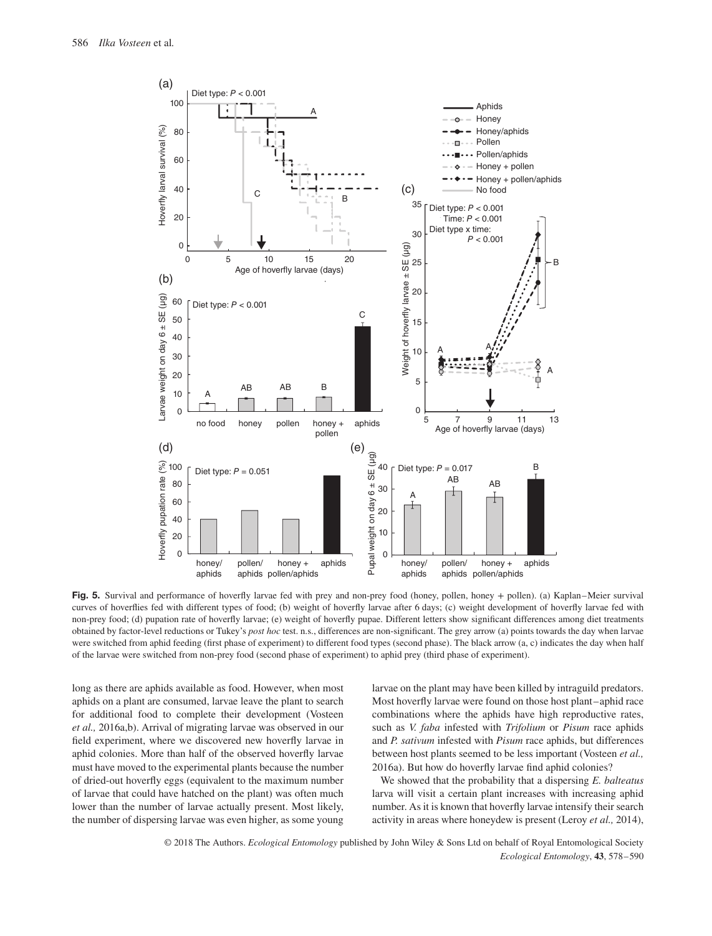

Fig. 5. Survival and performance of hoverfly larvae fed with prey and non-prey food (honey, pollen, honey + pollen). (a) Kaplan–Meier survival curves of hoverflies fed with different types of food; (b) weight of hoverfly larvae after 6 days; (c) weight development of hoverfly larvae fed with non-prey food; (d) pupation rate of hoverfly larvae; (e) weight of hoverfly pupae. Different letters show significant differences among diet treatments obtained by factor-level reductions or Tukey's *post hoc* test. n.s., differences are non-significant. The grey arrow (a) points towards the day when larvae were switched from aphid feeding (first phase of experiment) to different food types (second phase). The black arrow (a, c) indicates the day when half of the larvae were switched from non-prey food (second phase of experiment) to aphid prey (third phase of experiment).

long as there are aphids available as food. However, when most aphids on a plant are consumed, larvae leave the plant to search for additional food to complete their development (Vosteen *et al.,* 2016a,b). Arrival of migrating larvae was observed in our field experiment, where we discovered new hoverfly larvae in aphid colonies. More than half of the observed hoverfly larvae must have moved to the experimental plants because the number of dried-out hoverfly eggs (equivalent to the maximum number of larvae that could have hatched on the plant) was often much lower than the number of larvae actually present. Most likely, the number of dispersing larvae was even higher, as some young larvae on the plant may have been killed by intraguild predators. Most hoverfly larvae were found on those host plant–aphid race combinations where the aphids have high reproductive rates, such as *V. faba* infested with *Trifolium* or *Pisum* race aphids and *P. sativum* infested with *Pisum* race aphids, but differences between host plants seemed to be less important (Vosteen *et al.,* 2016a). But how do hoverfly larvae find aphid colonies?

We showed that the probability that a dispersing *E. balteatus* larva will visit a certain plant increases with increasing aphid number. As it is known that hoverfly larvae intensify their search activity in areas where honeydew is present (Leroy *et al.,* 2014),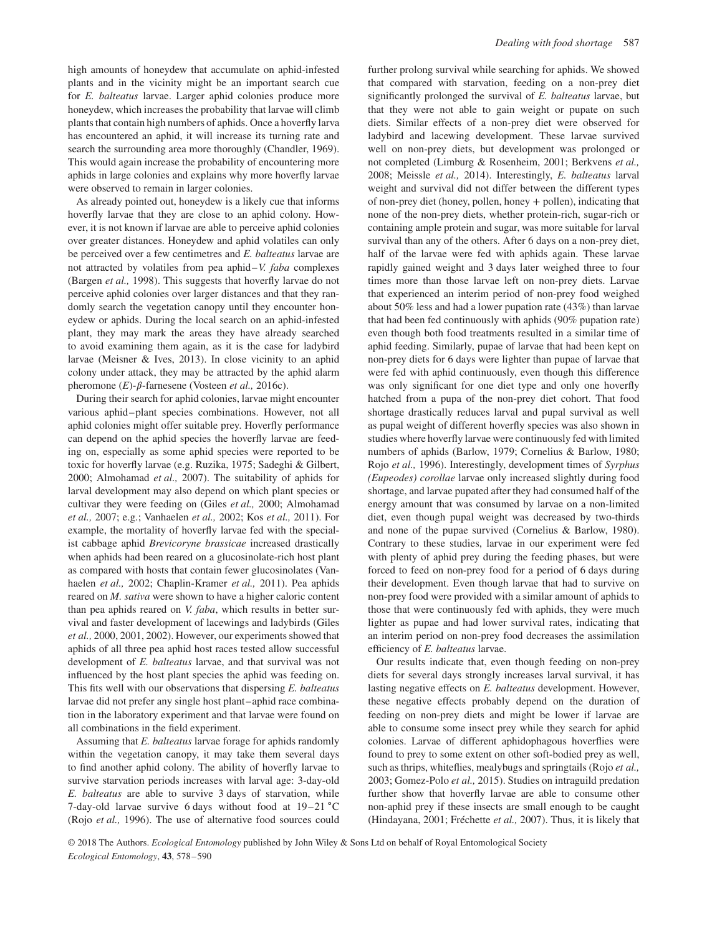high amounts of honeydew that accumulate on aphid-infested plants and in the vicinity might be an important search cue for *E. balteatus* larvae. Larger aphid colonies produce more honeydew, which increases the probability that larvae will climb plants that contain high numbers of aphids. Once a hoverfly larva has encountered an aphid, it will increase its turning rate and search the surrounding area more thoroughly (Chandler, 1969). This would again increase the probability of encountering more aphids in large colonies and explains why more hoverfly larvae were observed to remain in larger colonies.

As already pointed out, honeydew is a likely cue that informs hoverfly larvae that they are close to an aphid colony. However, it is not known if larvae are able to perceive aphid colonies over greater distances. Honeydew and aphid volatiles can only be perceived over a few centimetres and *E. balteatus* larvae are not attracted by volatiles from pea aphid–*V. faba* complexes (Bargen *et al.,* 1998). This suggests that hoverfly larvae do not perceive aphid colonies over larger distances and that they randomly search the vegetation canopy until they encounter honeydew or aphids. During the local search on an aphid-infested plant, they may mark the areas they have already searched to avoid examining them again, as it is the case for ladybird larvae (Meisner & Ives, 2013). In close vicinity to an aphid colony under attack, they may be attracted by the aphid alarm pheromone  $(E)$ - $\beta$ -farnesene (Vosteen *et al.*, 2016c).

During their search for aphid colonies, larvae might encounter various aphid–plant species combinations. However, not all aphid colonies might offer suitable prey. Hoverfly performance can depend on the aphid species the hoverfly larvae are feeding on, especially as some aphid species were reported to be toxic for hoverfly larvae (e.g. Ruzika, 1975; Sadeghi & Gilbert, 2000; Almohamad *et al.,* 2007). The suitability of aphids for larval development may also depend on which plant species or cultivar they were feeding on (Giles *et al.,* 2000; Almohamad *et al.,* 2007; e.g.; Vanhaelen *et al.,* 2002; Kos *et al.,* 2011). For example, the mortality of hoverfly larvae fed with the specialist cabbage aphid *Brevicoryne brassicae* increased drastically when aphids had been reared on a glucosinolate-rich host plant as compared with hosts that contain fewer glucosinolates (Vanhaelen *et al.,* 2002; Chaplin-Kramer *et al.,* 2011). Pea aphids reared on *M. sativa* were shown to have a higher caloric content than pea aphids reared on *V. faba*, which results in better survival and faster development of lacewings and ladybirds (Giles *et al.,* 2000, 2001, 2002). However, our experiments showed that aphids of all three pea aphid host races tested allow successful development of *E. balteatus* larvae, and that survival was not influenced by the host plant species the aphid was feeding on. This fits well with our observations that dispersing *E. balteatus* larvae did not prefer any single host plant–aphid race combination in the laboratory experiment and that larvae were found on all combinations in the field experiment.

Assuming that *E. balteatus* larvae forage for aphids randomly within the vegetation canopy, it may take them several days to find another aphid colony. The ability of hoverfly larvae to survive starvation periods increases with larval age: 3-day-old *E. balteatus* are able to survive 3 days of starvation, while 7-day-old larvae survive 6 days without food at 19–21 ∘C (Rojo *et al.,* 1996). The use of alternative food sources could further prolong survival while searching for aphids. We showed that compared with starvation, feeding on a non-prey diet significantly prolonged the survival of *E. balteatus* larvae, but that they were not able to gain weight or pupate on such diets. Similar effects of a non-prey diet were observed for ladybird and lacewing development. These larvae survived well on non-prey diets, but development was prolonged or not completed (Limburg & Rosenheim, 2001; Berkvens *et al.,* 2008; Meissle *et al.,* 2014). Interestingly, *E. balteatus* larval weight and survival did not differ between the different types of non-prey diet (honey, pollen, honey + pollen), indicating that none of the non-prey diets, whether protein-rich, sugar-rich or containing ample protein and sugar, was more suitable for larval survival than any of the others. After 6 days on a non-prey diet, half of the larvae were fed with aphids again. These larvae rapidly gained weight and 3 days later weighed three to four times more than those larvae left on non-prey diets. Larvae that experienced an interim period of non-prey food weighed about 50% less and had a lower pupation rate (43%) than larvae that had been fed continuously with aphids (90% pupation rate) even though both food treatments resulted in a similar time of aphid feeding. Similarly, pupae of larvae that had been kept on non-prey diets for 6 days were lighter than pupae of larvae that were fed with aphid continuously, even though this difference was only significant for one diet type and only one hoverfly hatched from a pupa of the non-prey diet cohort. That food shortage drastically reduces larval and pupal survival as well as pupal weight of different hoverfly species was also shown in studies where hoverfly larvae were continuously fed with limited numbers of aphids (Barlow, 1979; Cornelius & Barlow, 1980; Rojo *et al.,* 1996). Interestingly, development times of *Syrphus (Eupeodes) corollae* larvae only increased slightly during food shortage, and larvae pupated after they had consumed half of the energy amount that was consumed by larvae on a non-limited diet, even though pupal weight was decreased by two-thirds and none of the pupae survived (Cornelius & Barlow, 1980). Contrary to these studies, larvae in our experiment were fed with plenty of aphid prey during the feeding phases, but were forced to feed on non-prey food for a period of 6 days during their development. Even though larvae that had to survive on non-prey food were provided with a similar amount of aphids to those that were continuously fed with aphids, they were much lighter as pupae and had lower survival rates, indicating that an interim period on non-prey food decreases the assimilation efficiency of *E. balteatus* larvae.

Our results indicate that, even though feeding on non-prey diets for several days strongly increases larval survival, it has lasting negative effects on *E. balteatus* development. However, these negative effects probably depend on the duration of feeding on non-prey diets and might be lower if larvae are able to consume some insect prey while they search for aphid colonies. Larvae of different aphidophagous hoverflies were found to prey to some extent on other soft-bodied prey as well, such as thrips, whiteflies, mealybugs and springtails (Rojo *et al.,* 2003; Gomez-Polo *et al.,* 2015). Studies on intraguild predation further show that hoverfly larvae are able to consume other non-aphid prey if these insects are small enough to be caught (Hindayana, 2001; Fréchette *et al.,* 2007). Thus, it is likely that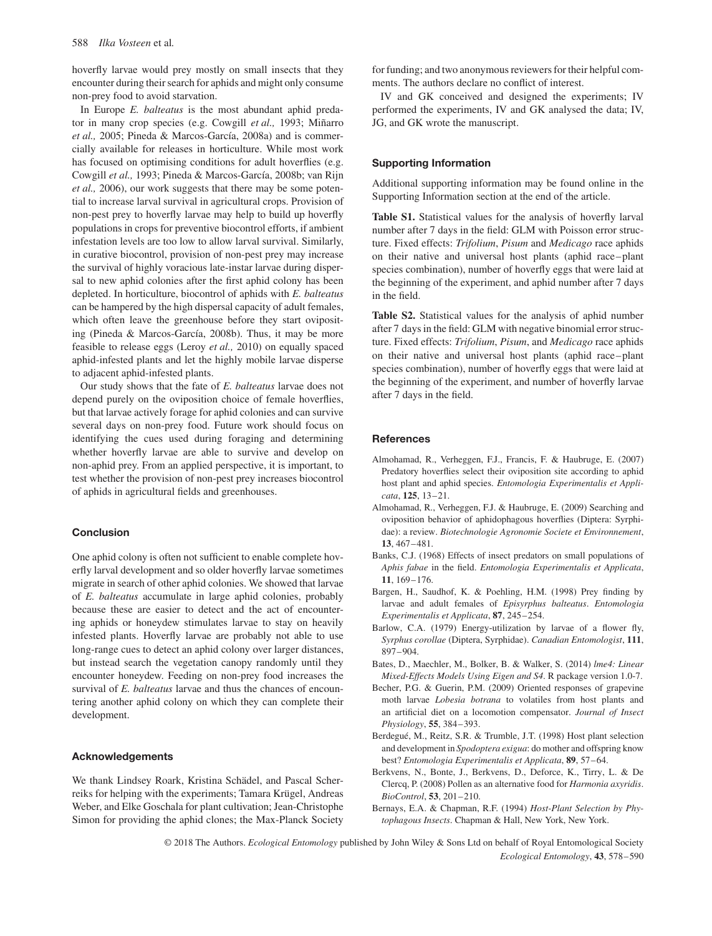hoverfly larvae would prey mostly on small insects that they encounter during their search for aphids and might only consume non-prey food to avoid starvation.

In Europe *E. balteatus* is the most abundant aphid predator in many crop species (e.g. Cowgill *et al.,* 1993; Miñarro *et al.,* 2005; Pineda & Marcos-García, 2008a) and is commercially available for releases in horticulture. While most work has focused on optimising conditions for adult hoverflies (e.g. Cowgill *et al.,* 1993; Pineda & Marcos-García, 2008b; van Rijn *et al.,* 2006), our work suggests that there may be some potential to increase larval survival in agricultural crops. Provision of non-pest prey to hoverfly larvae may help to build up hoverfly populations in crops for preventive biocontrol efforts, if ambient infestation levels are too low to allow larval survival. Similarly, in curative biocontrol, provision of non-pest prey may increase the survival of highly voracious late-instar larvae during dispersal to new aphid colonies after the first aphid colony has been depleted. In horticulture, biocontrol of aphids with *E. balteatus* can be hampered by the high dispersal capacity of adult females, which often leave the greenhouse before they start ovipositing (Pineda & Marcos-García, 2008b). Thus, it may be more feasible to release eggs (Leroy *et al.,* 2010) on equally spaced aphid-infested plants and let the highly mobile larvae disperse to adjacent aphid-infested plants.

Our study shows that the fate of *E. balteatus* larvae does not depend purely on the oviposition choice of female hoverflies, but that larvae actively forage for aphid colonies and can survive several days on non-prey food. Future work should focus on identifying the cues used during foraging and determining whether hoverfly larvae are able to survive and develop on non-aphid prey. From an applied perspective, it is important, to test whether the provision of non-pest prey increases biocontrol of aphids in agricultural fields and greenhouses.

# **Conclusion**

One aphid colony is often not sufficient to enable complete hoverfly larval development and so older hoverfly larvae sometimes migrate in search of other aphid colonies. We showed that larvae of *E. balteatus* accumulate in large aphid colonies, probably because these are easier to detect and the act of encountering aphids or honeydew stimulates larvae to stay on heavily infested plants. Hoverfly larvae are probably not able to use long-range cues to detect an aphid colony over larger distances, but instead search the vegetation canopy randomly until they encounter honeydew. Feeding on non-prey food increases the survival of *E. balteatus* larvae and thus the chances of encountering another aphid colony on which they can complete their development.

## **Acknowledgements**

We thank Lindsey Roark, Kristina Schädel, and Pascal Scherreiks for helping with the experiments; Tamara Krügel, Andreas Weber, and Elke Goschala for plant cultivation; Jean-Christophe Simon for providing the aphid clones; the Max-Planck Society for funding; and two anonymous reviewers for their helpful comments. The authors declare no conflict of interest.

IV and GK conceived and designed the experiments; IV performed the experiments, IV and GK analysed the data; IV, JG, and GK wrote the manuscript.

## **Supporting Information**

Additional supporting information may be found online in the Supporting Information section at the end of the article.

**Table S1.** Statistical values for the analysis of hoverfly larval number after 7 days in the field: GLM with Poisson error structure. Fixed effects: *Trifolium*, *Pisum* and *Medicago* race aphids on their native and universal host plants (aphid race–plant species combination), number of hoverfly eggs that were laid at the beginning of the experiment, and aphid number after 7 days in the field.

**Table S2.** Statistical values for the analysis of aphid number after 7 days in the field: GLM with negative binomial error structure. Fixed effects: *Trifolium*, *Pisum*, and *Medicago* race aphids on their native and universal host plants (aphid race–plant species combination), number of hoverfly eggs that were laid at the beginning of the experiment, and number of hoverfly larvae after 7 days in the field.

### **References**

- Almohamad, R., Verheggen, F.J., Francis, F. & Haubruge, E. (2007) Predatory hoverflies select their oviposition site according to aphid host plant and aphid species. *Entomologia Experimentalis et Applicata*, **125**, 13–21.
- Almohamad, R., Verheggen, F.J. & Haubruge, E. (2009) Searching and oviposition behavior of aphidophagous hoverflies (Diptera: Syrphidae): a review. *Biotechnologie Agronomie Societe et Environnement*, **13**, 467–481.
- Banks, C.J. (1968) Effects of insect predators on small populations of *Aphis fabae* in the field. *Entomologia Experimentalis et Applicata*, **11**, 169–176.
- Bargen, H., Saudhof, K. & Poehling, H.M. (1998) Prey finding by larvae and adult females of *Episyrphus balteatus*. *Entomologia Experimentalis et Applicata*, **87**, 245–254.
- Barlow, C.A. (1979) Energy-utilization by larvae of a flower fly, *Syrphus corollae* (Diptera, Syrphidae). *Canadian Entomologist*, **111**, 897–904.
- Bates, D., Maechler, M., Bolker, B. & Walker, S. (2014) *lme4: Linear Mixed-Effects Models Using Eigen and S4*. R package version 1.0-7.
- Becher, P.G. & Guerin, P.M. (2009) Oriented responses of grapevine moth larvae *Lobesia botrana* to volatiles from host plants and an artificial diet on a locomotion compensator. *Journal of Insect Physiology*, **55**, 384–393.
- Berdegué, M., Reitz, S.R. & Trumble, J.T. (1998) Host plant selection and development in *Spodoptera exigua*: do mother and offspring know best? *Entomologia Experimentalis et Applicata*, **89**, 57–64.
- Berkvens, N., Bonte, J., Berkvens, D., Deforce, K., Tirry, L. & De Clercq, P. (2008) Pollen as an alternative food for *Harmonia axyridis*. *BioControl*, **53**, 201–210.
- Bernays, E.A. & Chapman, R.F. (1994) *Host-Plant Selection by Phytophagous Insects*. Chapman & Hall, New York, New York.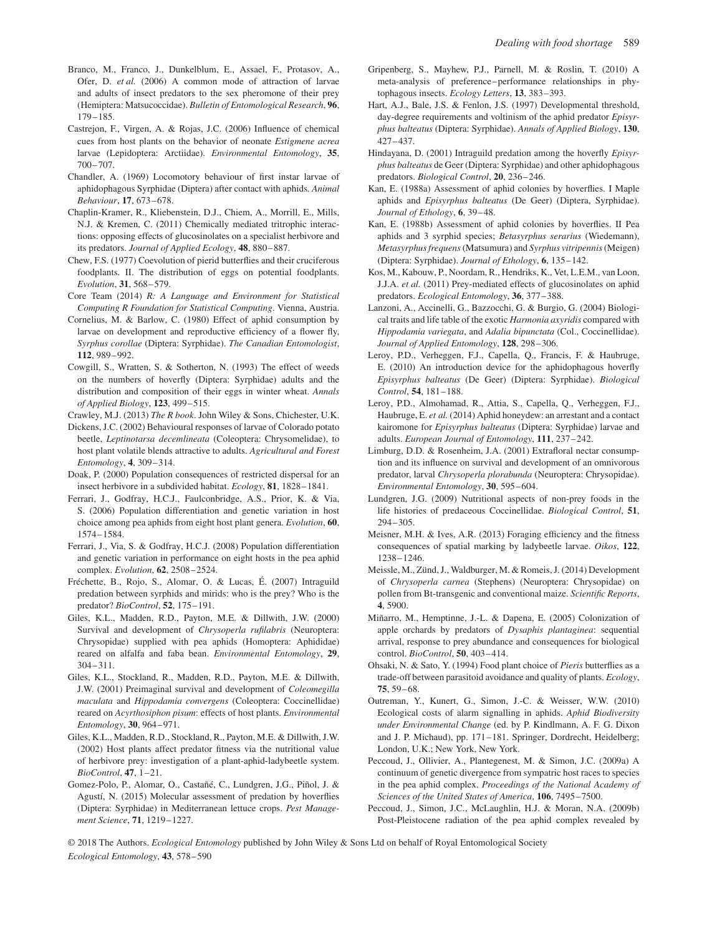- Branco, M., Franco, J., Dunkelblum, E., Assael, F., Protasov, A., Ofer, D. *et al.* (2006) A common mode of attraction of larvae and adults of insect predators to the sex pheromone of their prey (Hemiptera: Matsucoccidae). *Bulletin of Entomological Research*, **96**, 179–185.
- Castrejon, F., Virgen, A. & Rojas, J.C. (2006) Influence of chemical cues from host plants on the behavior of neonate *Estigmene acrea* larvae (Lepidoptera: Arctiidae). *Environmental Entomology*, **35**, 700–707.
- Chandler, A. (1969) Locomotory behaviour of first instar larvae of aphidophagous Syrphidae (Diptera) after contact with aphids. *Animal Behaviour*, **17**, 673–678.
- Chaplin-Kramer, R., Kliebenstein, D.J., Chiem, A., Morrill, E., Mills, N.J. & Kremen, C. (2011) Chemically mediated tritrophic interactions: opposing effects of glucosinolates on a specialist herbivore and its predators. *Journal of Applied Ecology*, **48**, 880–887.
- Chew, F.S. (1977) Coevolution of pierid butterflies and their cruciferous foodplants. II. The distribution of eggs on potential foodplants. *Evolution*, **31**, 568–579.
- Core Team (2014) *R: A Language and Environment for Statistical Computing R Foundation for Statistical Computing*. Vienna, Austria.
- Cornelius, M. & Barlow, C. (1980) Effect of aphid consumption by larvae on development and reproductive efficiency of a flower fly, *Syrphus corollae* (Diptera: Syrphidae). *The Canadian Entomologist*, **112**, 989–992.
- Cowgill, S., Wratten, S. & Sotherton, N. (1993) The effect of weeds on the numbers of hoverfly (Diptera: Syrphidae) adults and the distribution and composition of their eggs in winter wheat. *Annals of Applied Biology*, **123**, 499–515.

Crawley, M.J. (2013) *The R book*. John Wiley & Sons, Chichester, U.K.

- Dickens, J.C. (2002) Behavioural responses of larvae of Colorado potato beetle, *Leptinotarsa decemlineata* (Coleoptera: Chrysomelidae), to host plant volatile blends attractive to adults. *Agricultural and Forest Entomology*, **4**, 309–314.
- Doak, P. (2000) Population consequences of restricted dispersal for an insect herbivore in a subdivided habitat. *Ecology*, **81**, 1828–1841.
- Ferrari, J., Godfray, H.C.J., Faulconbridge, A.S., Prior, K. & Via, S. (2006) Population differentiation and genetic variation in host choice among pea aphids from eight host plant genera. *Evolution*, **60**, 1574–1584.
- Ferrari, J., Via, S. & Godfray, H.C.J. (2008) Population differentiation and genetic variation in performance on eight hosts in the pea aphid complex. *Evolution*, **62**, 2508–2524.
- Fréchette, B., Rojo, S., Alomar, O. & Lucas, É. (2007) Intraguild predation between syrphids and mirids: who is the prey? Who is the predator? *BioControl*, **52**, 175–191.
- Giles, K.L., Madden, R.D., Payton, M.E. & Dillwith, J.W. (2000) Survival and development of *Chrysoperla rufilabris* (Neuroptera: Chrysopidae) supplied with pea aphids (Homoptera: Aphididae) reared on alfalfa and faba bean. *Environmental Entomology*, **29**, 304–311.
- Giles, K.L., Stockland, R., Madden, R.D., Payton, M.E. & Dillwith, J.W. (2001) Preimaginal survival and development of *Coleomegilla maculata* and *Hippodamia convergens* (Coleoptera: Coccinellidae) reared on *Acyrthosiphon pisum*: effects of host plants. *Environmental Entomology*, **30**, 964–971.
- Giles, K.L., Madden, R.D., Stockland, R., Payton, M.E. & Dillwith, J.W. (2002) Host plants affect predator fitness via the nutritional value of herbivore prey: investigation of a plant-aphid-ladybeetle system. *BioControl*, **47**, 1–21.
- Gomez-Polo, P., Alomar, O., Castañé, C., Lundgren, J.G., Piñol, J. & Agustí, N. (2015) Molecular assessment of predation by hoverflies (Diptera: Syrphidae) in Mediterranean lettuce crops. *Pest Management Science*, **71**, 1219–1227.
- Gripenberg, S., Mayhew, P.J., Parnell, M. & Roslin, T. (2010) A meta-analysis of preference–performance relationships in phytophagous insects. *Ecology Letters*, **13**, 383–393.
- Hart, A.J., Bale, J.S. & Fenlon, J.S. (1997) Developmental threshold, day-degree requirements and voltinism of the aphid predator *Episyrphus balteatus* (Diptera: Syrphidae). *Annals of Applied Biology*, **130**, 427–437.
- Hindayana, D. (2001) Intraguild predation among the hoverfly *Episyrphus balteatus* de Geer (Diptera: Syrphidae) and other aphidophagous predators. *Biological Control*, **20**, 236–246.
- Kan, E. (1988a) Assessment of aphid colonies by hoverflies. I Maple aphids and *Episyrphus balteatus* (De Geer) (Diptera, Syrphidae). *Journal of Ethology*, **6**, 39–48.
- Kan, E. (1988b) Assessment of aphid colonies by hoverflies. II Pea aphids and 3 syrphid species; *Betasyrphus serarius* (Wiedemann), *Metasyrphus frequens*(Matsumura) and *Syrphus vitripennis*(Meigen) (Diptera: Syrphidae). *Journal of Ethology*, **6**, 135–142.
- Kos, M., Kabouw, P., Noordam, R., Hendriks, K., Vet, L.E.M., van Loon, J.J.A. *et al.* (2011) Prey-mediated effects of glucosinolates on aphid predators. *Ecological Entomology*, **36**, 377–388.
- Lanzoni, A., Accinelli, G., Bazzocchi, G. & Burgio, G. (2004) Biological traits and life table of the exotic *Harmonia axyridis* compared with *Hippodamia variegata*, and *Adalia bipunctata* (Col., Coccinellidae). *Journal of Applied Entomology*, **128**, 298–306.
- Leroy, P.D., Verheggen, F.J., Capella, Q., Francis, F. & Haubruge, E. (2010) An introduction device for the aphidophagous hoverfly *Episyrphus balteatus* (De Geer) (Diptera: Syrphidae). *Biological Control*, **54**, 181–188.
- Leroy, P.D., Almohamad, R., Attia, S., Capella, Q., Verheggen, F.J., Haubruge, E. *et al.* (2014) Aphid honeydew: an arrestant and a contact kairomone for *Episyrphus balteatus* (Diptera: Syrphidae) larvae and adults. *European Journal of Entomology*, **111**, 237–242.
- Limburg, D.D. & Rosenheim, J.A. (2001) Extrafloral nectar consumption and its influence on survival and development of an omnivorous predator, larval *Chrysoperla plorabunda* (Neuroptera: Chrysopidae). *Environmental Entomology*, **30**, 595–604.
- Lundgren, J.G. (2009) Nutritional aspects of non-prey foods in the life histories of predaceous Coccinellidae. *Biological Control*, **51**, 294–305.
- Meisner, M.H. & Ives, A.R. (2013) Foraging efficiency and the fitness consequences of spatial marking by ladybeetle larvae. *Oikos*, **122**, 1238–1246.
- Meissle, M., Zünd, J., Waldburger, M. & Romeis, J. (2014) Development of *Chrysoperla carnea* (Stephens) (Neuroptera: Chrysopidae) on pollen from Bt-transgenic and conventional maize. *Scientific Reports*, **4**, 5900.
- Miñarro, M., Hemptinne, J.-L. & Dapena, E. (2005) Colonization of apple orchards by predators of *Dysaphis plantaginea*: sequential arrival, response to prey abundance and consequences for biological control. *BioControl*, **50**, 403–414.
- Ohsaki, N. & Sato, Y. (1994) Food plant choice of *Pieris* butterflies as a trade-off between parasitoid avoidance and quality of plants. *Ecology*, **75**, 59–68.
- Outreman, Y., Kunert, G., Simon, J.-C. & Weisser, W.W. (2010) Ecological costs of alarm signalling in aphids. *Aphid Biodiversity under Environmental Change* (ed. by P. Kindlmann, A. F. G. Dixon and J. P. Michaud), pp. 171–181. Springer, Dordrecht, Heidelberg; London, U.K.; New York, New York.
- Peccoud, J., Ollivier, A., Plantegenest, M. & Simon, J.C. (2009a) A continuum of genetic divergence from sympatric host races to species in the pea aphid complex. *Proceedings of the National Academy of Sciences of the United States of America*, **106**, 7495–7500.
- Peccoud, J., Simon, J.C., McLaughlin, H.J. & Moran, N.A. (2009b) Post-Pleistocene radiation of the pea aphid complex revealed by